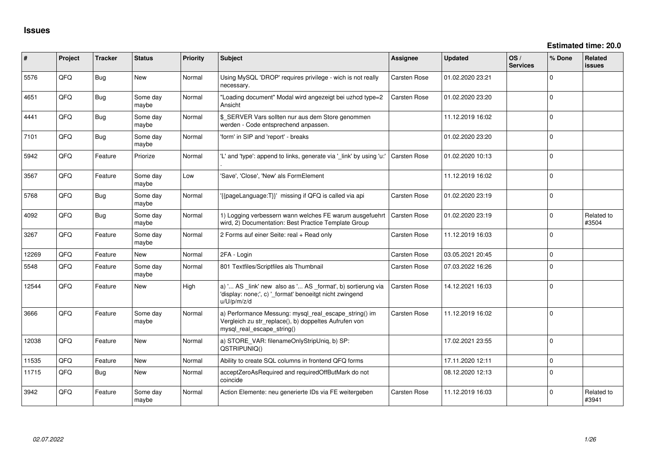| #     | Project | <b>Tracker</b> | <b>Status</b>     | <b>Priority</b> | Subject                                                                                                                                      | <b>Assignee</b>     | <b>Updated</b>   | OS/<br><b>Services</b> | % Done         | Related<br>issues   |
|-------|---------|----------------|-------------------|-----------------|----------------------------------------------------------------------------------------------------------------------------------------------|---------------------|------------------|------------------------|----------------|---------------------|
| 5576  | QFQ     | <b>Bug</b>     | New               | Normal          | Using MySQL 'DROP' requires privilege - wich is not really<br>necessary.                                                                     | Carsten Rose        | 01.02.2020 23:21 |                        | $\Omega$       |                     |
| 4651  | QFQ     | Bug            | Some day<br>maybe | Normal          | "Loading document" Modal wird angezeigt bei uzhcd type=2<br>Ansicht                                                                          | Carsten Rose        | 01.02.2020 23:20 |                        | $\Omega$       |                     |
| 4441  | QFQ     | Bug            | Some day<br>maybe | Normal          | \$_SERVER Vars sollten nur aus dem Store genommen<br>werden - Code entsprechend anpassen.                                                    |                     | 11.12.2019 16:02 |                        | $\overline{0}$ |                     |
| 7101  | QFQ     | Bug            | Some day<br>maybe | Normal          | 'form' in SIP and 'report' - breaks                                                                                                          |                     | 01.02.2020 23:20 |                        | $\Omega$       |                     |
| 5942  | QFQ     | Feature        | Priorize          | Normal          | 'L' and 'type': append to links, generate via '_link' by using 'u:'                                                                          | <b>Carsten Rose</b> | 01.02.2020 10:13 |                        | $\Omega$       |                     |
| 3567  | QFQ     | Feature        | Some day<br>maybe | Low             | 'Save', 'Close', 'New' als FormElement                                                                                                       |                     | 11.12.2019 16:02 |                        | $\Omega$       |                     |
| 5768  | QFQ     | Bug            | Some day<br>maybe | Normal          | '{{pageLanguage:T}}' missing if QFQ is called via api                                                                                        | Carsten Rose        | 01.02.2020 23:19 |                        | $\Omega$       |                     |
| 4092  | QFQ     | Bug            | Some day<br>maybe | Normal          | 1) Logging verbessern wann welches FE warum ausgefuehrt<br>wird, 2) Documentation: Best Practice Template Group                              | <b>Carsten Rose</b> | 01.02.2020 23:19 |                        | $\Omega$       | Related to<br>#3504 |
| 3267  | QFQ     | Feature        | Some day<br>maybe | Normal          | 2 Forms auf einer Seite: real + Read only                                                                                                    | <b>Carsten Rose</b> | 11.12.2019 16:03 |                        | $\Omega$       |                     |
| 12269 | QFQ     | Feature        | New               | Normal          | 2FA - Login                                                                                                                                  | Carsten Rose        | 03.05.2021 20:45 |                        | $\mathbf 0$    |                     |
| 5548  | QFQ     | Feature        | Some day<br>maybe | Normal          | 801 Textfiles/Scriptfiles als Thumbnail                                                                                                      | Carsten Rose        | 07.03.2022 16:26 |                        | $\overline{0}$ |                     |
| 12544 | QFQ     | Feature        | <b>New</b>        | High            | a) ' AS _link' new also as ' AS _format', b) sortierung via<br>'display: none;', c) '_format' benoeitgt nicht zwingend<br>u/U/p/m/z/d        | Carsten Rose        | 14.12.2021 16:03 |                        | $\Omega$       |                     |
| 3666  | QFQ     | Feature        | Some day<br>maybe | Normal          | a) Performance Messung: mysql_real_escape_string() im<br>Vergleich zu str_replace(), b) doppeltes Aufrufen von<br>mysql real escape string() | <b>Carsten Rose</b> | 11.12.2019 16:02 |                        | $\overline{0}$ |                     |
| 12038 | QFQ     | Feature        | <b>New</b>        | Normal          | a) STORE_VAR: filenameOnlyStripUniq, b) SP:<br>QSTRIPUNIQ()                                                                                  |                     | 17.02.2021 23:55 |                        | $\Omega$       |                     |
| 11535 | QFQ     | Feature        | New               | Normal          | Ability to create SQL columns in frontend QFQ forms                                                                                          |                     | 17.11.2020 12:11 |                        | $\Omega$       |                     |
| 11715 | QFQ     | Bug            | <b>New</b>        | Normal          | acceptZeroAsRequired and requiredOffButMark do not<br>coincide                                                                               |                     | 08.12.2020 12:13 |                        | 0              |                     |
| 3942  | QFQ     | Feature        | Some day<br>maybe | Normal          | Action Elemente: neu generierte IDs via FE weitergeben                                                                                       | Carsten Rose        | 11.12.2019 16:03 |                        | $\Omega$       | Related to<br>#3941 |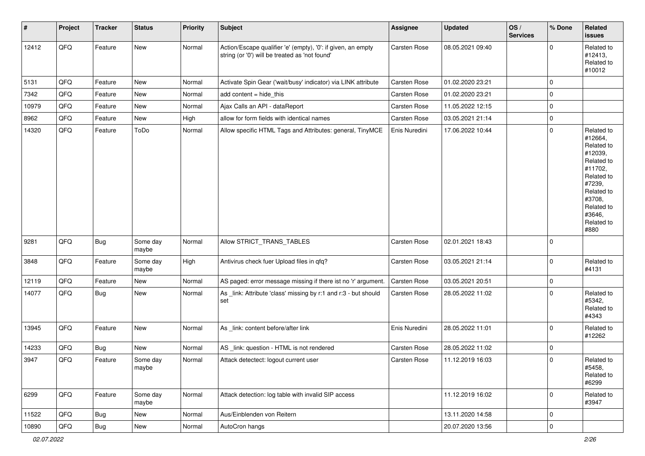| #     | Project | <b>Tracker</b> | <b>Status</b>     | <b>Priority</b> | <b>Subject</b>                                                                                                 | Assignee            | Updated          | OS/<br><b>Services</b> | % Done      | Related<br>issues                                                                                                                                                     |
|-------|---------|----------------|-------------------|-----------------|----------------------------------------------------------------------------------------------------------------|---------------------|------------------|------------------------|-------------|-----------------------------------------------------------------------------------------------------------------------------------------------------------------------|
| 12412 | QFQ     | Feature        | <b>New</b>        | Normal          | Action/Escape qualifier 'e' (empty), '0': if given, an empty<br>string (or '0') will be treated as 'not found' | <b>Carsten Rose</b> | 08.05.2021 09:40 |                        | $\Omega$    | Related to<br>#12413,<br>Related to<br>#10012                                                                                                                         |
| 5131  | QFQ     | Feature        | New               | Normal          | Activate Spin Gear ('wait/busy' indicator) via LINK attribute                                                  | Carsten Rose        | 01.02.2020 23:21 |                        | $\mathbf 0$ |                                                                                                                                                                       |
| 7342  | QFQ     | Feature        | New               | Normal          | add content = hide_this                                                                                        | Carsten Rose        | 01.02.2020 23:21 |                        | $\mathbf 0$ |                                                                                                                                                                       |
| 10979 | QFQ     | Feature        | New               | Normal          | Ajax Calls an API - dataReport                                                                                 | Carsten Rose        | 11.05.2022 12:15 |                        | $\mathbf 0$ |                                                                                                                                                                       |
| 8962  | QFQ     | Feature        | New               | High            | allow for form fields with identical names                                                                     | Carsten Rose        | 03.05.2021 21:14 |                        | $\mathbf 0$ |                                                                                                                                                                       |
| 14320 | QFQ     | Feature        | ToDo              | Normal          | Allow specific HTML Tags and Attributes: general, TinyMCE                                                      | Enis Nuredini       | 17.06.2022 10:44 |                        | $\mathbf 0$ | Related to<br>#12664,<br>Related to<br>#12039,<br>Related to<br>#11702,<br>Related to<br>#7239,<br>Related to<br>#3708,<br>Related to<br>#3646,<br>Related to<br>#880 |
| 9281  | QFQ     | Bug            | Some day<br>maybe | Normal          | Allow STRICT_TRANS_TABLES                                                                                      | Carsten Rose        | 02.01.2021 18:43 |                        | $\mathbf 0$ |                                                                                                                                                                       |
| 3848  | QFO     | Feature        | Some day<br>maybe | High            | Antivirus check fuer Upload files in qfq?                                                                      | Carsten Rose        | 03.05.2021 21:14 |                        | $\mathbf 0$ | Related to<br>#4131                                                                                                                                                   |
| 12119 | QFQ     | Feature        | New               | Normal          | AS paged: error message missing if there ist no 'r' argument.                                                  | Carsten Rose        | 03.05.2021 20:51 |                        | $\mathbf 0$ |                                                                                                                                                                       |
| 14077 | QFQ     | Bug            | New               | Normal          | As _link: Attribute 'class' missing by r:1 and r:3 - but should<br>set                                         | Carsten Rose        | 28.05.2022 11:02 |                        | $\mathbf 0$ | Related to<br>#5342,<br>Related to<br>#4343                                                                                                                           |
| 13945 | QFQ     | Feature        | New               | Normal          | As _link: content before/after link                                                                            | Enis Nuredini       | 28.05.2022 11:01 |                        | $\mathbf 0$ | Related to<br>#12262                                                                                                                                                  |
| 14233 | QFQ     | Bug            | New               | Normal          | AS _link: question - HTML is not rendered                                                                      | Carsten Rose        | 28.05.2022 11:02 |                        | $\mathbf 0$ |                                                                                                                                                                       |
| 3947  | QFQ     | Feature        | Some day<br>maybe | Normal          | Attack detectect: logout current user                                                                          | Carsten Rose        | 11.12.2019 16:03 |                        | $\mathbf 0$ | Related to<br>#5458,<br>Related to<br>#6299                                                                                                                           |
| 6299  | QFQ     | Feature        | Some day<br>maybe | Normal          | Attack detection: log table with invalid SIP access                                                            |                     | 11.12.2019 16:02 |                        | $\mathbf 0$ | Related to<br>#3947                                                                                                                                                   |
| 11522 | QFQ     | Bug            | New               | Normal          | Aus/Einblenden von Reitern                                                                                     |                     | 13.11.2020 14:58 |                        | $\mathbf 0$ |                                                                                                                                                                       |
| 10890 | QFQ     | Bug            | New               | Normal          | AutoCron hangs                                                                                                 |                     | 20.07.2020 13:56 |                        | $\mathbf 0$ |                                                                                                                                                                       |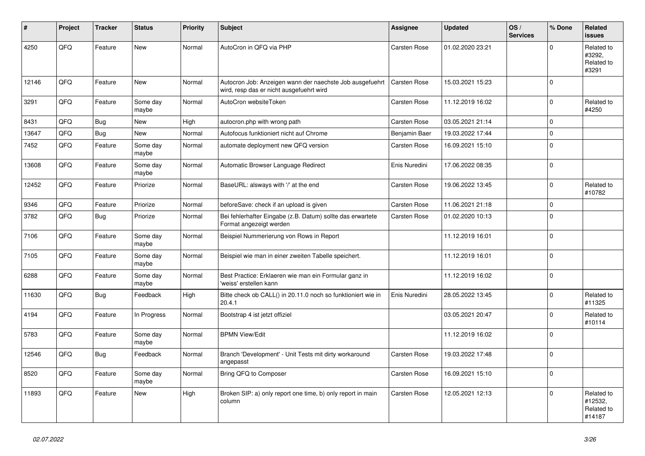| $\vert$ # | <b>Project</b> | <b>Tracker</b> | <b>Status</b>     | <b>Priority</b> | <b>Subject</b>                                                                                       | Assignee            | <b>Updated</b>   | OS/<br><b>Services</b> | % Done      | Related<br><b>issues</b>                      |
|-----------|----------------|----------------|-------------------|-----------------|------------------------------------------------------------------------------------------------------|---------------------|------------------|------------------------|-------------|-----------------------------------------------|
| 4250      | QFQ            | Feature        | New               | Normal          | AutoCron in QFQ via PHP                                                                              | Carsten Rose        | 01.02.2020 23:21 |                        | $\Omega$    | Related to<br>#3292,<br>Related to<br>#3291   |
| 12146     | QFQ            | Feature        | <b>New</b>        | Normal          | Autocron Job: Anzeigen wann der naechste Job ausgefuehrt<br>wird, resp das er nicht ausgefuehrt wird | Carsten Rose        | 15.03.2021 15:23 |                        | $\Omega$    |                                               |
| 3291      | QFQ            | Feature        | Some day<br>maybe | Normal          | AutoCron websiteToken                                                                                | Carsten Rose        | 11.12.2019 16:02 |                        | $\Omega$    | Related to<br>#4250                           |
| 8431      | QFQ            | Bug            | New               | High            | autocron.php with wrong path                                                                         | Carsten Rose        | 03.05.2021 21:14 |                        | $\mathbf 0$ |                                               |
| 13647     | QFQ            | Bug            | <b>New</b>        | Normal          | Autofocus funktioniert nicht auf Chrome                                                              | Benjamin Baer       | 19.03.2022 17:44 |                        | $\mathbf 0$ |                                               |
| 7452      | QFQ            | Feature        | Some day<br>maybe | Normal          | automate deployment new QFQ version                                                                  | Carsten Rose        | 16.09.2021 15:10 |                        | $\mathbf 0$ |                                               |
| 13608     | QFQ            | Feature        | Some day<br>maybe | Normal          | Automatic Browser Language Redirect                                                                  | Enis Nuredini       | 17.06.2022 08:35 |                        | $\Omega$    |                                               |
| 12452     | QFQ            | Feature        | Priorize          | Normal          | BaseURL: alsways with '/' at the end                                                                 | Carsten Rose        | 19.06.2022 13:45 |                        | $\Omega$    | Related to<br>#10782                          |
| 9346      | QFQ            | Feature        | Priorize          | Normal          | beforeSave: check if an upload is given                                                              | Carsten Rose        | 11.06.2021 21:18 |                        | $\mathbf 0$ |                                               |
| 3782      | QFQ            | <b>Bug</b>     | Priorize          | Normal          | Bei fehlerhafter Eingabe (z.B. Datum) sollte das erwartete<br>Format angezeigt werden                | <b>Carsten Rose</b> | 01.02.2020 10:13 |                        | $\mathbf 0$ |                                               |
| 7106      | QFQ            | Feature        | Some day<br>maybe | Normal          | Beispiel Nummerierung von Rows in Report                                                             |                     | 11.12.2019 16:01 |                        | $\Omega$    |                                               |
| 7105      | QFQ            | Feature        | Some day<br>maybe | Normal          | Beispiel wie man in einer zweiten Tabelle speichert.                                                 |                     | 11.12.2019 16:01 |                        | $\mathbf 0$ |                                               |
| 6288      | QFQ            | Feature        | Some day<br>maybe | Normal          | Best Practice: Erklaeren wie man ein Formular ganz in<br>'weiss' erstellen kann                      |                     | 11.12.2019 16:02 |                        | $\Omega$    |                                               |
| 11630     | QFQ            | <b>Bug</b>     | Feedback          | High            | Bitte check ob CALL() in 20.11.0 noch so funktioniert wie in<br>20.4.1                               | Enis Nuredini       | 28.05.2022 13:45 |                        | $\Omega$    | Related to<br>#11325                          |
| 4194      | QFQ            | Feature        | In Progress       | Normal          | Bootstrap 4 ist jetzt offiziel                                                                       |                     | 03.05.2021 20:47 |                        | $\mathbf 0$ | Related to<br>#10114                          |
| 5783      | QFQ            | Feature        | Some day<br>maybe | Normal          | <b>BPMN View/Edit</b>                                                                                |                     | 11.12.2019 16:02 |                        | $\mathbf 0$ |                                               |
| 12546     | QFQ            | Bug            | Feedback          | Normal          | Branch 'Development' - Unit Tests mit dirty workaround<br>angepasst                                  | Carsten Rose        | 19.03.2022 17:48 |                        | $\Omega$    |                                               |
| 8520      | QFQ            | Feature        | Some day<br>maybe | Normal          | Bring QFQ to Composer                                                                                | Carsten Rose        | 16.09.2021 15:10 |                        | $\mathbf 0$ |                                               |
| 11893     | QFQ            | Feature        | <b>New</b>        | High            | Broken SIP: a) only report one time, b) only report in main<br>column                                | <b>Carsten Rose</b> | 12.05.2021 12:13 |                        | $\mathbf 0$ | Related to<br>#12532,<br>Related to<br>#14187 |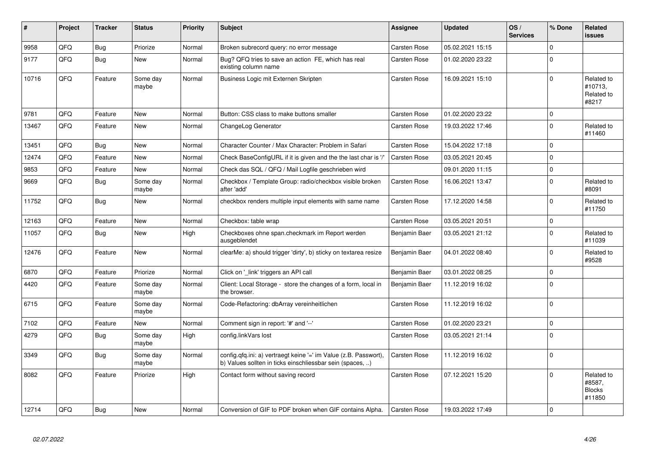| #     | Project | <b>Tracker</b> | <b>Status</b>     | Priority | <b>Subject</b>                                                                                                                | Assignee            | <b>Updated</b>   | OS/<br><b>Services</b> | % Done       | Related<br><b>issues</b>                        |
|-------|---------|----------------|-------------------|----------|-------------------------------------------------------------------------------------------------------------------------------|---------------------|------------------|------------------------|--------------|-------------------------------------------------|
| 9958  | QFQ     | <b>Bug</b>     | Priorize          | Normal   | Broken subrecord query: no error message                                                                                      | <b>Carsten Rose</b> | 05.02.2021 15:15 |                        | $\Omega$     |                                                 |
| 9177  | QFQ     | Bug            | New               | Normal   | Bug? QFQ tries to save an action FE, which has real<br>existing column name                                                   | <b>Carsten Rose</b> | 01.02.2020 23:22 |                        | $\Omega$     |                                                 |
| 10716 | QFQ     | Feature        | Some day<br>maybe | Normal   | Business Logic mit Externen Skripten                                                                                          | <b>Carsten Rose</b> | 16.09.2021 15:10 |                        | $\Omega$     | Related to<br>#10713.<br>Related to<br>#8217    |
| 9781  | QFQ     | Feature        | New               | Normal   | Button: CSS class to make buttons smaller                                                                                     | <b>Carsten Rose</b> | 01.02.2020 23:22 |                        | $\Omega$     |                                                 |
| 13467 | QFQ     | Feature        | <b>New</b>        | Normal   | ChangeLog Generator                                                                                                           | <b>Carsten Rose</b> | 19.03.2022 17:46 |                        | $\Omega$     | Related to<br>#11460                            |
| 13451 | QFQ     | Bug            | <b>New</b>        | Normal   | Character Counter / Max Character: Problem in Safari                                                                          | <b>Carsten Rose</b> | 15.04.2022 17:18 |                        | $\Omega$     |                                                 |
| 12474 | QFQ     | Feature        | <b>New</b>        | Normal   | Check BaseConfigURL if it is given and the the last char is '/'                                                               | <b>Carsten Rose</b> | 03.05.2021 20:45 |                        | $\mathbf{0}$ |                                                 |
| 9853  | QFQ     | Feature        | <b>New</b>        | Normal   | Check das SQL / QFQ / Mail Logfile geschrieben wird                                                                           |                     | 09.01.2020 11:15 |                        | $\Omega$     |                                                 |
| 9669  | QFO     | <b>Bug</b>     | Some day<br>maybe | Normal   | Checkbox / Template Group: radio/checkbox visible broken<br>after 'add'                                                       | Carsten Rose        | 16.06.2021 13:47 |                        | $\Omega$     | Related to<br>#8091                             |
| 11752 | QFQ     | <b>Bug</b>     | <b>New</b>        | Normal   | checkbox renders multiple input elements with same name                                                                       | <b>Carsten Rose</b> | 17.12.2020 14:58 |                        | $\Omega$     | Related to<br>#11750                            |
| 12163 | QFQ     | Feature        | <b>New</b>        | Normal   | Checkbox: table wrap                                                                                                          | <b>Carsten Rose</b> | 03.05.2021 20:51 |                        | $\mathbf 0$  |                                                 |
| 11057 | QFQ     | Bug            | <b>New</b>        | High     | Checkboxes ohne span.checkmark im Report werden<br>ausgeblendet                                                               | Benjamin Baer       | 03.05.2021 21:12 |                        | $\Omega$     | Related to<br>#11039                            |
| 12476 | QFQ     | Feature        | <b>New</b>        | Normal   | clearMe: a) should trigger 'dirty', b) sticky on textarea resize                                                              | Benjamin Baer       | 04.01.2022 08:40 |                        | $\Omega$     | Related to<br>#9528                             |
| 6870  | QFQ     | Feature        | Priorize          | Normal   | Click on 'link' triggers an API call                                                                                          | Benjamin Baer       | 03.01.2022 08:25 |                        | $\Omega$     |                                                 |
| 4420  | QFQ     | Feature        | Some day<br>maybe | Normal   | Client: Local Storage - store the changes of a form, local in<br>the browser.                                                 | Benjamin Baer       | 11.12.2019 16:02 |                        | $\Omega$     |                                                 |
| 6715  | QFQ     | Feature        | Some day<br>maybe | Normal   | Code-Refactoring: dbArray vereinheitlichen                                                                                    | <b>Carsten Rose</b> | 11.12.2019 16:02 |                        | $\Omega$     |                                                 |
| 7102  | QFQ     | Feature        | <b>New</b>        | Normal   | Comment sign in report: '#' and '--'                                                                                          | <b>Carsten Rose</b> | 01.02.2020 23:21 |                        | $\Omega$     |                                                 |
| 4279  | QFQ     | <b>Bug</b>     | Some day<br>maybe | High     | config.linkVars lost                                                                                                          | <b>Carsten Rose</b> | 03.05.2021 21:14 |                        | $\Omega$     |                                                 |
| 3349  | QFQ     | Bug            | Some day<br>maybe | Normal   | config.qfq.ini: a) vertraegt keine '=' im Value (z.B. Passwort),<br>b) Values sollten in ticks einschliessbar sein (spaces, ) | <b>Carsten Rose</b> | 11.12.2019 16:02 |                        | $\Omega$     |                                                 |
| 8082  | QFQ     | Feature        | Priorize          | High     | Contact form without saving record                                                                                            | <b>Carsten Rose</b> | 07.12.2021 15:20 |                        | $\Omega$     | Related to<br>#8587,<br><b>Blocks</b><br>#11850 |
| 12714 | QFQ     | Bug            | New               | Normal   | Conversion of GIF to PDF broken when GIF contains Alpha.                                                                      | <b>Carsten Rose</b> | 19.03.2022 17:49 |                        | $\Omega$     |                                                 |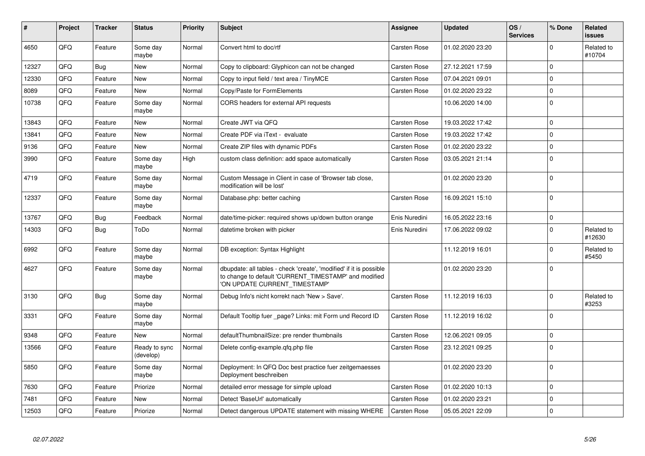| #     | Project | <b>Tracker</b> | <b>Status</b>              | <b>Priority</b> | <b>Subject</b>                                                                                                                                                | Assignee            | <b>Updated</b>   | OS/<br><b>Services</b> | % Done      | Related<br>issues    |
|-------|---------|----------------|----------------------------|-----------------|---------------------------------------------------------------------------------------------------------------------------------------------------------------|---------------------|------------------|------------------------|-------------|----------------------|
| 4650  | QFQ     | Feature        | Some day<br>maybe          | Normal          | Convert html to doc/rtf                                                                                                                                       | Carsten Rose        | 01.02.2020 23:20 |                        | $\Omega$    | Related to<br>#10704 |
| 12327 | QFQ     | Bug            | <b>New</b>                 | Normal          | Copy to clipboard: Glyphicon can not be changed                                                                                                               | <b>Carsten Rose</b> | 27.12.2021 17:59 |                        | $\Omega$    |                      |
| 12330 | QFQ     | Feature        | New                        | Normal          | Copy to input field / text area / TinyMCE                                                                                                                     | <b>Carsten Rose</b> | 07.04.2021 09:01 |                        | $\Omega$    |                      |
| 8089  | QFQ     | Feature        | New                        | Normal          | Copy/Paste for FormElements                                                                                                                                   | Carsten Rose        | 01.02.2020 23:22 |                        | 0           |                      |
| 10738 | QFQ     | Feature        | Some day<br>maybe          | Normal          | CORS headers for external API requests                                                                                                                        |                     | 10.06.2020 14:00 |                        | $\Omega$    |                      |
| 13843 | QFQ     | Feature        | New                        | Normal          | Create JWT via QFQ                                                                                                                                            | <b>Carsten Rose</b> | 19.03.2022 17:42 |                        | $\Omega$    |                      |
| 13841 | QFQ     | Feature        | <b>New</b>                 | Normal          | Create PDF via iText - evaluate                                                                                                                               | <b>Carsten Rose</b> | 19.03.2022 17:42 |                        | 0           |                      |
| 9136  | QFQ     | Feature        | New                        | Normal          | Create ZIP files with dynamic PDFs                                                                                                                            | <b>Carsten Rose</b> | 01.02.2020 23:22 |                        | $\Omega$    |                      |
| 3990  | QFQ     | Feature        | Some day<br>maybe          | High            | custom class definition: add space automatically                                                                                                              | Carsten Rose        | 03.05.2021 21:14 |                        | $\Omega$    |                      |
| 4719  | QFQ     | Feature        | Some day<br>maybe          | Normal          | Custom Message in Client in case of 'Browser tab close,<br>modification will be lost'                                                                         |                     | 01.02.2020 23:20 |                        | $\mathbf 0$ |                      |
| 12337 | QFQ     | Feature        | Some day<br>maybe          | Normal          | Database.php: better caching                                                                                                                                  | <b>Carsten Rose</b> | 16.09.2021 15:10 |                        | $\Omega$    |                      |
| 13767 | QFQ     | <b>Bug</b>     | Feedback                   | Normal          | date/time-picker: required shows up/down button orange                                                                                                        | Enis Nuredini       | 16.05.2022 23:16 |                        | $\Omega$    |                      |
| 14303 | QFQ     | <b>Bug</b>     | ToDo                       | Normal          | datetime broken with picker                                                                                                                                   | Enis Nuredini       | 17.06.2022 09:02 |                        | $\Omega$    | Related to<br>#12630 |
| 6992  | QFQ     | Feature        | Some day<br>maybe          | Normal          | DB exception: Syntax Highlight                                                                                                                                |                     | 11.12.2019 16:01 |                        | $\Omega$    | Related to<br>#5450  |
| 4627  | QFQ     | Feature        | Some day<br>maybe          | Normal          | dbupdate: all tables - check 'create', 'modified' if it is possible<br>to change to default 'CURRENT_TIMESTAMP' and modified<br>'ON UPDATE CURRENT_TIMESTAMP' |                     | 01.02.2020 23:20 |                        | $\Omega$    |                      |
| 3130  | QFQ     | <b>Bug</b>     | Some day<br>maybe          | Normal          | Debug Info's nicht korrekt nach 'New > Save'.                                                                                                                 | <b>Carsten Rose</b> | 11.12.2019 16:03 |                        | $\Omega$    | Related to<br>#3253  |
| 3331  | QFQ     | Feature        | Some day<br>maybe          | Normal          | Default Tooltip fuer _page? Links: mit Form und Record ID                                                                                                     | Carsten Rose        | 11.12.2019 16:02 |                        | $\Omega$    |                      |
| 9348  | QFQ     | Feature        | <b>New</b>                 | Normal          | defaultThumbnailSize: pre render thumbnails                                                                                                                   | <b>Carsten Rose</b> | 12.06.2021 09:05 |                        | $\Omega$    |                      |
| 13566 | QFQ     | Feature        | Ready to sync<br>(develop) | Normal          | Delete config-example.gfg.php file                                                                                                                            | <b>Carsten Rose</b> | 23.12.2021 09:25 |                        | 0           |                      |
| 5850  | QFQ     | Feature        | Some day<br>maybe          | Normal          | Deployment: In QFQ Doc best practice fuer zeitgemaesses<br>Deployment beschreiben                                                                             |                     | 01.02.2020 23:20 |                        | $\Omega$    |                      |
| 7630  | QFQ     | Feature        | Priorize                   | Normal          | detailed error message for simple upload                                                                                                                      | <b>Carsten Rose</b> | 01.02.2020 10:13 |                        | $\Omega$    |                      |
| 7481  | QFQ     | Feature        | <b>New</b>                 | Normal          | Detect 'BaseUrl' automatically                                                                                                                                | <b>Carsten Rose</b> | 01.02.2020 23:21 |                        | $\Omega$    |                      |
| 12503 | QFQ     | Feature        | Priorize                   | Normal          | Detect dangerous UPDATE statement with missing WHERE                                                                                                          | <b>Carsten Rose</b> | 05.05.2021 22:09 |                        | $\Omega$    |                      |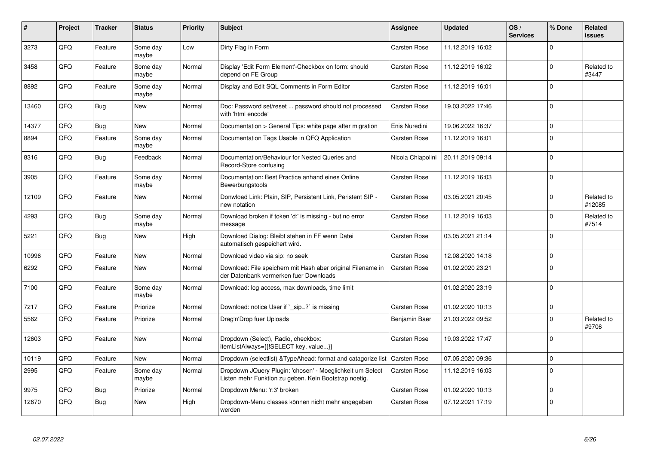| #     | Project | <b>Tracker</b> | <b>Status</b>     | <b>Priority</b> | <b>Subject</b>                                                                                                     | Assignee            | <b>Updated</b>   | OS/<br><b>Services</b> | % Done       | Related<br>issues    |
|-------|---------|----------------|-------------------|-----------------|--------------------------------------------------------------------------------------------------------------------|---------------------|------------------|------------------------|--------------|----------------------|
| 3273  | QFQ     | Feature        | Some day<br>maybe | Low             | Dirty Flag in Form                                                                                                 | <b>Carsten Rose</b> | 11.12.2019 16:02 |                        | $\Omega$     |                      |
| 3458  | QFQ     | Feature        | Some day<br>maybe | Normal          | Display 'Edit Form Element'-Checkbox on form: should<br>depend on FE Group                                         | <b>Carsten Rose</b> | 11.12.2019 16:02 |                        | $\mathbf 0$  | Related to<br>#3447  |
| 8892  | QFQ     | Feature        | Some day<br>maybe | Normal          | Display and Edit SQL Comments in Form Editor                                                                       | <b>Carsten Rose</b> | 11.12.2019 16:01 |                        | $\Omega$     |                      |
| 13460 | QFQ     | <b>Bug</b>     | New               | Normal          | Doc: Password set/reset  password should not processed<br>with 'html encode'                                       | <b>Carsten Rose</b> | 19.03.2022 17:46 |                        | $\Omega$     |                      |
| 14377 | QFQ     | <b>Bug</b>     | <b>New</b>        | Normal          | Documentation > General Tips: white page after migration                                                           | Enis Nuredini       | 19.06.2022 16:37 |                        | $\Omega$     |                      |
| 8894  | QFQ     | Feature        | Some day<br>maybe | Normal          | Documentation Tags Usable in QFQ Application                                                                       | <b>Carsten Rose</b> | 11.12.2019 16:01 |                        | $\Omega$     |                      |
| 8316  | QFQ     | <b>Bug</b>     | Feedback          | Normal          | Documentation/Behaviour for Nested Queries and<br>Record-Store confusing                                           | Nicola Chiapolini   | 20.11.2019 09:14 |                        | $\mathbf 0$  |                      |
| 3905  | QFQ     | Feature        | Some day<br>maybe | Normal          | Documentation: Best Practice anhand eines Online<br>Bewerbungstools                                                | <b>Carsten Rose</b> | 11.12.2019 16:03 |                        | $\mathbf 0$  |                      |
| 12109 | QFQ     | Feature        | <b>New</b>        | Normal          | Donwload Link: Plain, SIP, Persistent Link, Peristent SIP -<br>new notation                                        | <b>Carsten Rose</b> | 03.05.2021 20:45 |                        | $\mathbf 0$  | Related to<br>#12085 |
| 4293  | QFQ     | Bug            | Some day<br>maybe | Normal          | Download broken if token 'd:' is missing - but no error<br>message                                                 | <b>Carsten Rose</b> | 11.12.2019 16:03 |                        | $\mathbf 0$  | Related to<br>#7514  |
| 5221  | QFQ     | Bug            | <b>New</b>        | High            | Download Dialog: Bleibt stehen in FF wenn Datei<br>automatisch gespeichert wird.                                   | <b>Carsten Rose</b> | 03.05.2021 21:14 |                        | $\Omega$     |                      |
| 10996 | QFQ     | Feature        | <b>New</b>        | Normal          | Download video via sip: no seek                                                                                    | <b>Carsten Rose</b> | 12.08.2020 14:18 |                        | $\Omega$     |                      |
| 6292  | QFQ     | Feature        | <b>New</b>        | Normal          | Download: File speichern mit Hash aber original Filename in<br>der Datenbank vermerken fuer Downloads              | <b>Carsten Rose</b> | 01.02.2020 23:21 |                        | $\Omega$     |                      |
| 7100  | QFQ     | Feature        | Some day<br>maybe | Normal          | Download: log access, max downloads, time limit                                                                    |                     | 01.02.2020 23:19 |                        | $\Omega$     |                      |
| 7217  | QFQ     | Feature        | Priorize          | Normal          | Download: notice User if `_sip=?` is missing                                                                       | <b>Carsten Rose</b> | 01.02.2020 10:13 |                        | $\mathbf{0}$ |                      |
| 5562  | QFQ     | Feature        | Priorize          | Normal          | Drag'n'Drop fuer Uploads                                                                                           | Benjamin Baer       | 21.03.2022 09:52 |                        | $\Omega$     | Related to<br>#9706  |
| 12603 | QFQ     | Feature        | <b>New</b>        | Normal          | Dropdown (Select), Radio, checkbox:<br>itemListAlways={{!SELECT key, value}}                                       | <b>Carsten Rose</b> | 19.03.2022 17:47 |                        | $\Omega$     |                      |
| 10119 | QFQ     | Feature        | <b>New</b>        | Normal          | Dropdown (selectlist) & TypeAhead: format and catagorize list                                                      | <b>Carsten Rose</b> | 07.05.2020 09:36 |                        | $\mathbf 0$  |                      |
| 2995  | QFQ     | Feature        | Some day<br>maybe | Normal          | Dropdown JQuery Plugin: 'chosen' - Moeglichkeit um Select<br>Listen mehr Funktion zu geben. Kein Bootstrap noetig. | <b>Carsten Rose</b> | 11.12.2019 16:03 |                        | $\Omega$     |                      |
| 9975  | QFQ     | <b>Bug</b>     | Priorize          | Normal          | Dropdown Menu: 'r:3' broken                                                                                        | <b>Carsten Rose</b> | 01.02.2020 10:13 |                        | $\Omega$     |                      |
| 12670 | QFQ     | <b>Bug</b>     | New               | High            | Dropdown-Menu classes können nicht mehr angegeben<br>werden                                                        | <b>Carsten Rose</b> | 07.12.2021 17:19 |                        | $\Omega$     |                      |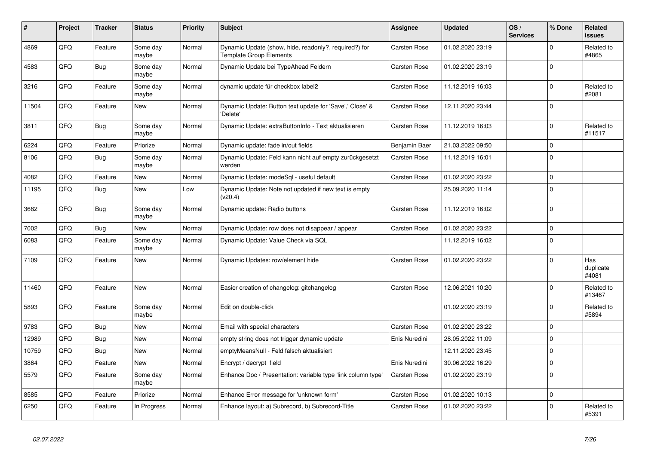| ∦     | Project | <b>Tracker</b> | <b>Status</b>     | <b>Priority</b> | <b>Subject</b>                                                                          | Assignee            | Updated          | OS/<br><b>Services</b> | % Done      | Related<br><b>issues</b>  |
|-------|---------|----------------|-------------------|-----------------|-----------------------------------------------------------------------------------------|---------------------|------------------|------------------------|-------------|---------------------------|
| 4869  | QFQ     | Feature        | Some day<br>maybe | Normal          | Dynamic Update (show, hide, readonly?, required?) for<br><b>Template Group Elements</b> | <b>Carsten Rose</b> | 01.02.2020 23:19 |                        | $\Omega$    | Related to<br>#4865       |
| 4583  | QFQ     | <b>Bug</b>     | Some day<br>maybe | Normal          | Dynamic Update bei TypeAhead Feldern                                                    | <b>Carsten Rose</b> | 01.02.2020 23:19 |                        | $\mathbf 0$ |                           |
| 3216  | QFQ     | Feature        | Some day<br>maybe | Normal          | dynamic update für checkbox label2                                                      | <b>Carsten Rose</b> | 11.12.2019 16:03 |                        | $\Omega$    | Related to<br>#2081       |
| 11504 | QFQ     | Feature        | New               | Normal          | Dynamic Update: Button text update for 'Save',' Close' &<br>'Delete'                    | <b>Carsten Rose</b> | 12.11.2020 23:44 |                        | $\Omega$    |                           |
| 3811  | QFQ     | Bug            | Some day<br>maybe | Normal          | Dynamic Update: extraButtonInfo - Text aktualisieren                                    | <b>Carsten Rose</b> | 11.12.2019 16:03 |                        | $\Omega$    | Related to<br>#11517      |
| 6224  | QFQ     | Feature        | Priorize          | Normal          | Dynamic update: fade in/out fields                                                      | Benjamin Baer       | 21.03.2022 09:50 |                        | $\Omega$    |                           |
| 8106  | QFQ     | <b>Bug</b>     | Some day<br>maybe | Normal          | Dynamic Update: Feld kann nicht auf empty zurückgesetzt<br>werden                       | <b>Carsten Rose</b> | 11.12.2019 16:01 |                        | $\Omega$    |                           |
| 4082  | QFQ     | Feature        | <b>New</b>        | Normal          | Dynamic Update: modeSql - useful default                                                | <b>Carsten Rose</b> | 01.02.2020 23:22 |                        | $\mathbf 0$ |                           |
| 11195 | QFQ     | <b>Bug</b>     | <b>New</b>        | Low             | Dynamic Update: Note not updated if new text is empty<br>(v20.4)                        |                     | 25.09.2020 11:14 |                        | $\Omega$    |                           |
| 3682  | QFQ     | Bug            | Some day<br>maybe | Normal          | Dynamic update: Radio buttons                                                           | <b>Carsten Rose</b> | 11.12.2019 16:02 |                        | $\Omega$    |                           |
| 7002  | QFQ     | <b>Bug</b>     | <b>New</b>        | Normal          | Dynamic Update: row does not disappear / appear                                         | <b>Carsten Rose</b> | 01.02.2020 23:22 |                        | $\Omega$    |                           |
| 6083  | QFQ     | Feature        | Some day<br>maybe | Normal          | Dynamic Update: Value Check via SQL                                                     |                     | 11.12.2019 16:02 |                        | $\Omega$    |                           |
| 7109  | QFQ     | Feature        | <b>New</b>        | Normal          | Dynamic Updates: row/element hide                                                       | <b>Carsten Rose</b> | 01.02.2020 23:22 |                        | $\Omega$    | Has<br>duplicate<br>#4081 |
| 11460 | QFQ     | Feature        | <b>New</b>        | Normal          | Easier creation of changelog: gitchangelog                                              | <b>Carsten Rose</b> | 12.06.2021 10:20 |                        | $\Omega$    | Related to<br>#13467      |
| 5893  | QFQ     | Feature        | Some day<br>maybe | Normal          | Edit on double-click                                                                    |                     | 01.02.2020 23:19 |                        | $\Omega$    | Related to<br>#5894       |
| 9783  | QFQ     | Bug            | <b>New</b>        | Normal          | Email with special characters                                                           | <b>Carsten Rose</b> | 01.02.2020 23:22 |                        | $\Omega$    |                           |
| 12989 | QFQ     | Bug            | <b>New</b>        | Normal          | empty string does not trigger dynamic update                                            | Enis Nuredini       | 28.05.2022 11:09 |                        | $\Omega$    |                           |
| 10759 | QFQ     | <b>Bug</b>     | <b>New</b>        | Normal          | emptyMeansNull - Feld falsch aktualisiert                                               |                     | 12.11.2020 23:45 |                        | $\Omega$    |                           |
| 3864  | QFQ     | Feature        | <b>New</b>        | Normal          | Encrypt / decrypt field                                                                 | Enis Nuredini       | 30.06.2022 16:29 |                        | $\Omega$    |                           |
| 5579  | QFQ     | Feature        | Some day<br>maybe | Normal          | Enhance Doc / Presentation: variable type 'link column type'                            | <b>Carsten Rose</b> | 01.02.2020 23:19 |                        | $\Omega$    |                           |
| 8585  | QFQ     | Feature        | Priorize          | Normal          | Enhance Error message for 'unknown form'                                                | <b>Carsten Rose</b> | 01.02.2020 10:13 |                        | $\mathbf 0$ |                           |
| 6250  | QFQ     | Feature        | In Progress       | Normal          | Enhance layout: a) Subrecord, b) Subrecord-Title                                        | <b>Carsten Rose</b> | 01.02.2020 23:22 |                        | $\Omega$    | Related to<br>#5391       |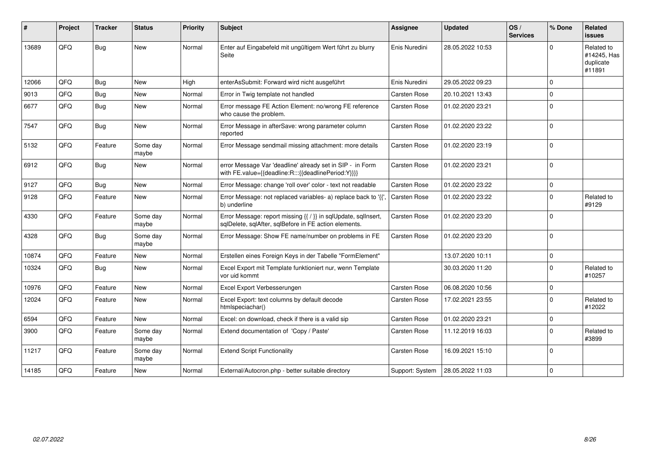| #     | Project | <b>Tracker</b> | <b>Status</b>     | <b>Priority</b> | Subject                                                                                                                 | Assignee            | <b>Updated</b>   | OS/<br><b>Services</b> | % Done   | Related<br><b>issues</b>                         |
|-------|---------|----------------|-------------------|-----------------|-------------------------------------------------------------------------------------------------------------------------|---------------------|------------------|------------------------|----------|--------------------------------------------------|
| 13689 | QFQ     | <b>Bug</b>     | New               | Normal          | Enter auf Eingabefeld mit ungültigem Wert führt zu blurry<br>Seite                                                      | Enis Nuredini       | 28.05.2022 10:53 |                        | $\Omega$ | Related to<br>#14245, Has<br>duplicate<br>#11891 |
| 12066 | QFQ     | Bug            | <b>New</b>        | High            | enterAsSubmit: Forward wird nicht ausgeführt                                                                            | Enis Nuredini       | 29.05.2022 09:23 |                        | $\Omega$ |                                                  |
| 9013  | QFQ     | <b>Bug</b>     | <b>New</b>        | Normal          | Error in Twig template not handled                                                                                      | Carsten Rose        | 20.10.2021 13:43 |                        | $\Omega$ |                                                  |
| 6677  | QFQ     | Bug            | <b>New</b>        | Normal          | Error message FE Action Element: no/wrong FE reference<br>who cause the problem.                                        | Carsten Rose        | 01.02.2020 23:21 |                        | $\Omega$ |                                                  |
| 7547  | QFQ     | Bug            | <b>New</b>        | Normal          | Error Message in afterSave: wrong parameter column<br>reported                                                          | <b>Carsten Rose</b> | 01.02.2020 23:22 |                        | $\Omega$ |                                                  |
| 5132  | QFQ     | Feature        | Some day<br>maybe | Normal          | Error Message sendmail missing attachment: more details                                                                 | <b>Carsten Rose</b> | 01.02.2020 23:19 |                        | $\Omega$ |                                                  |
| 6912  | QFQ     | Bug            | New               | Normal          | error Message Var 'deadline' already set in SIP - in Form<br>with FE.value={{deadline:R:::{{deadlinePeriod:Y}}}}        | Carsten Rose        | 01.02.2020 23:21 |                        | $\Omega$ |                                                  |
| 9127  | QFQ     | Bug            | <b>New</b>        | Normal          | Error Message: change 'roll over' color - text not readable                                                             | Carsten Rose        | 01.02.2020 23:22 |                        | $\Omega$ |                                                  |
| 9128  | QFQ     | Feature        | New               | Normal          | Error Message: not replaced variables- a) replace back to '{{'<br>b) underline                                          | <b>Carsten Rose</b> | 01.02.2020 23:22 |                        | $\Omega$ | Related to<br>#9129                              |
| 4330  | QFQ     | Feature        | Some day<br>maybe | Normal          | Error Message: report missing {{ / }} in sqlUpdate, sqlInsert,<br>sqlDelete, sqlAfter, sqlBefore in FE action elements. | Carsten Rose        | 01.02.2020 23:20 |                        | $\Omega$ |                                                  |
| 4328  | QFQ     | Bug            | Some day<br>maybe | Normal          | Error Message: Show FE name/number on problems in FE                                                                    | Carsten Rose        | 01.02.2020 23:20 |                        | $\Omega$ |                                                  |
| 10874 | QFQ     | Feature        | <b>New</b>        | Normal          | Erstellen eines Foreign Keys in der Tabelle "FormElement"                                                               |                     | 13.07.2020 10:11 |                        | $\Omega$ |                                                  |
| 10324 | QFQ     | Bug            | New               | Normal          | Excel Export mit Template funktioniert nur, wenn Template<br>vor uid kommt                                              |                     | 30.03.2020 11:20 |                        | $\Omega$ | Related to<br>#10257                             |
| 10976 | QFQ     | Feature        | <b>New</b>        | Normal          | Excel Export Verbesserungen                                                                                             | Carsten Rose        | 06.08.2020 10:56 |                        | $\Omega$ |                                                  |
| 12024 | QFQ     | Feature        | <b>New</b>        | Normal          | Excel Export: text columns by default decode<br>htmlspeciachar()                                                        | <b>Carsten Rose</b> | 17.02.2021 23:55 |                        | $\Omega$ | Related to<br>#12022                             |
| 6594  | QFQ     | Feature        | <b>New</b>        | Normal          | Excel: on download, check if there is a valid sip                                                                       | Carsten Rose        | 01.02.2020 23:21 |                        | $\Omega$ |                                                  |
| 3900  | QFQ     | Feature        | Some day<br>maybe | Normal          | Extend documentation of 'Copy / Paste'                                                                                  | <b>Carsten Rose</b> | 11.12.2019 16:03 |                        | $\Omega$ | Related to<br>#3899                              |
| 11217 | QFQ     | Feature        | Some day<br>maybe | Normal          | <b>Extend Script Functionality</b>                                                                                      | Carsten Rose        | 16.09.2021 15:10 |                        | $\Omega$ |                                                  |
| 14185 | QFQ     | Feature        | <b>New</b>        | Normal          | External/Autocron.php - better suitable directory                                                                       | Support: System     | 28.05.2022 11:03 |                        | $\Omega$ |                                                  |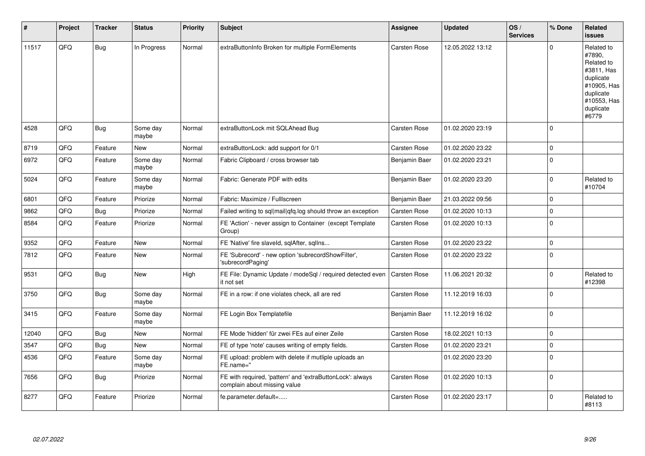| #     | Project | <b>Tracker</b> | <b>Status</b>     | <b>Priority</b> | <b>Subject</b>                                                                            | Assignee            | <b>Updated</b>   | OS/<br><b>Services</b> | % Done              | Related<br><b>issues</b>                                                                                                       |
|-------|---------|----------------|-------------------|-----------------|-------------------------------------------------------------------------------------------|---------------------|------------------|------------------------|---------------------|--------------------------------------------------------------------------------------------------------------------------------|
| 11517 | QFQ     | Bug            | In Progress       | Normal          | extraButtonInfo Broken for multiple FormElements                                          | Carsten Rose        | 12.05.2022 13:12 |                        | $\Omega$            | Related to<br>#7890,<br>Related to<br>#3811, Has<br>duplicate<br>#10905, Has<br>duplicate<br>#10553, Has<br>duplicate<br>#6779 |
| 4528  | QFQ     | Bug            | Some day<br>maybe | Normal          | extraButtonLock mit SQLAhead Bug                                                          | Carsten Rose        | 01.02.2020 23:19 |                        | l 0                 |                                                                                                                                |
| 8719  | QFQ     | Feature        | New               | Normal          | extraButtonLock: add support for 0/1                                                      | Carsten Rose        | 01.02.2020 23:22 |                        | $\mathbf 0$         |                                                                                                                                |
| 6972  | QFQ     | Feature        | Some day<br>maybe | Normal          | Fabric Clipboard / cross browser tab                                                      | Benjamin Baer       | 01.02.2020 23:21 |                        | $\Omega$            |                                                                                                                                |
| 5024  | QFQ     | Feature        | Some day<br>maybe | Normal          | Fabric: Generate PDF with edits                                                           | Benjamin Baer       | 01.02.2020 23:20 |                        | $\mathbf{0}$        | Related to<br>#10704                                                                                                           |
| 6801  | QFQ     | Feature        | Priorize          | Normal          | Fabric: Maximize / FullIscreen                                                            | Benjamin Baer       | 21.03.2022 09:56 |                        | $\Omega$            |                                                                                                                                |
| 9862  | QFQ     | <b>Bug</b>     | Priorize          | Normal          | Failed writing to sql mail qfq.log should throw an exception                              | <b>Carsten Rose</b> | 01.02.2020 10:13 |                        | 0 I                 |                                                                                                                                |
| 8584  | QFQ     | Feature        | Priorize          | Normal          | FE 'Action' - never assign to Container (except Template<br>Group)                        | <b>Carsten Rose</b> | 01.02.2020 10:13 |                        | $\Omega$            |                                                                                                                                |
| 9352  | QFQ     | Feature        | New               | Normal          | FE 'Native' fire slaveld, sqlAfter, sqlIns                                                | Carsten Rose        | 01.02.2020 23:22 |                        | $\mathsf{O}\xspace$ |                                                                                                                                |
| 7812  | QFQ     | Feature        | New               | Normal          | FE 'Subrecord' - new option 'subrecordShowFilter',<br>'subrecordPaging'                   | Carsten Rose        | 01.02.2020 23:22 |                        | $\Omega$            |                                                                                                                                |
| 9531  | QFQ     | Bug            | <b>New</b>        | High            | FE File: Dynamic Update / modeSql / required detected even<br>it not set                  | Carsten Rose        | 11.06.2021 20:32 |                        | $\Omega$            | Related to<br>#12398                                                                                                           |
| 3750  | QFQ     | <b>Bug</b>     | Some day<br>maybe | Normal          | FE in a row: if one violates check, all are red                                           | Carsten Rose        | 11.12.2019 16:03 |                        | $\mathbf 0$         |                                                                                                                                |
| 3415  | QFQ     | Feature        | Some day<br>maybe | Normal          | FE Login Box Templatefile                                                                 | Benjamin Baer       | 11.12.2019 16:02 |                        | 0 I                 |                                                                                                                                |
| 12040 | QFQ     | Bug            | <b>New</b>        | Normal          | FE Mode 'hidden' für zwei FEs auf einer Zeile                                             | <b>Carsten Rose</b> | 18.02.2021 10:13 |                        | l 0                 |                                                                                                                                |
| 3547  | QFQ     | Bug            | New               | Normal          | FE of type 'note' causes writing of empty fields.                                         | <b>Carsten Rose</b> | 01.02.2020 23:21 |                        | $\mathbf 0$         |                                                                                                                                |
| 4536  | QFQ     | Feature        | Some day<br>maybe | Normal          | FE upload: problem with delete if mutliple uploads an<br>FE.name="                        |                     | 01.02.2020 23:20 |                        | $\Omega$            |                                                                                                                                |
| 7656  | QFQ     | <b>Bug</b>     | Priorize          | Normal          | FE with required, 'pattern' and 'extraButtonLock': always<br>complain about missing value | Carsten Rose        | 01.02.2020 10:13 |                        | $\Omega$            |                                                                                                                                |
| 8277  | QFQ     | Feature        | Priorize          | Normal          | fe.parameter.default=                                                                     | <b>Carsten Rose</b> | 01.02.2020 23:17 |                        | $\Omega$            | Related to<br>#8113                                                                                                            |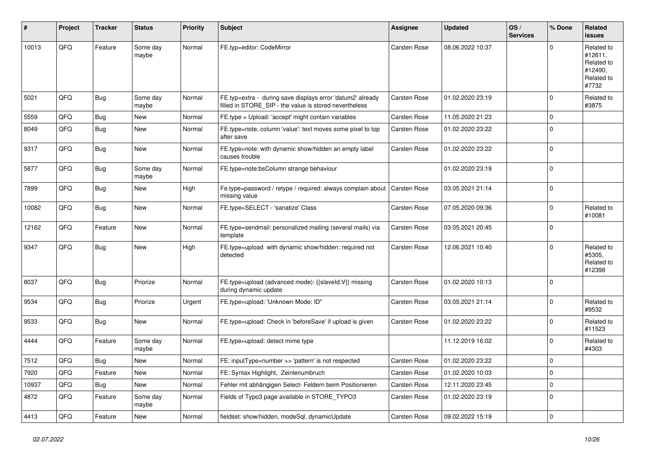| ∦     | Project | <b>Tracker</b> | <b>Status</b>     | <b>Priority</b> | <b>Subject</b>                                                                                                       | Assignee            | <b>Updated</b>   | OS/<br><b>Services</b> | % Done      | Related<br><b>issues</b>                                              |
|-------|---------|----------------|-------------------|-----------------|----------------------------------------------------------------------------------------------------------------------|---------------------|------------------|------------------------|-------------|-----------------------------------------------------------------------|
| 10013 | QFQ     | Feature        | Some day<br>maybe | Normal          | FE.typ=editor: CodeMirror                                                                                            | <b>Carsten Rose</b> | 08.06.2022 10:37 |                        | $\Omega$    | Related to<br>#12611,<br>Related to<br>#12490,<br>Related to<br>#7732 |
| 5021  | QFQ     | <b>Bug</b>     | Some day<br>maybe | Normal          | FE.typ=extra - during save displays error 'datum2' already<br>filled in STORE SIP - the value is stored nevertheless | <b>Carsten Rose</b> | 01.02.2020 23:19 |                        | $\Omega$    | Related to<br>#3875                                                   |
| 5559  | QFQ     | <b>Bug</b>     | <b>New</b>        | Normal          | FE.type = Upload: 'accept' might contain variables                                                                   | <b>Carsten Rose</b> | 11.05.2020 21:23 |                        | $\Omega$    |                                                                       |
| 8049  | QFQ     | Bug            | <b>New</b>        | Normal          | FE.type=note, column 'value': text moves some pixel to top<br>after save                                             | <b>Carsten Rose</b> | 01.02.2020 23:22 |                        | $\Omega$    |                                                                       |
| 9317  | QFQ     | <b>Bug</b>     | <b>New</b>        | Normal          | FE.type=note: with dynamic show/hidden an empty label<br>causes trouble                                              | <b>Carsten Rose</b> | 01.02.2020 23:22 |                        | $\mathbf 0$ |                                                                       |
| 5877  | QFQ     | <b>Bug</b>     | Some day<br>maybe | Normal          | FE.type=note:bsColumn strange behaviour                                                                              |                     | 01.02.2020 23:19 |                        | $\Omega$    |                                                                       |
| 7899  | QFQ     | <b>Bug</b>     | <b>New</b>        | High            | Fe.type=password / retype / required: always complain about<br>missing value                                         | <b>Carsten Rose</b> | 03.05.2021 21:14 |                        | $\Omega$    |                                                                       |
| 10082 | QFQ     | Bug            | <b>New</b>        | Normal          | FE.type=SELECT - 'sanatize' Class                                                                                    | Carsten Rose        | 07.05.2020 09:36 |                        | $\Omega$    | Related to<br>#10081                                                  |
| 12162 | QFQ     | Feature        | New               | Normal          | FE.type=sendmail: personalized mailing (several mails) via<br>template                                               | Carsten Rose        | 03.05.2021 20:45 |                        | $\Omega$    |                                                                       |
| 9347  | QFQ     | Bug            | <b>New</b>        | High            | FE.type=upload with dynamic show/hidden: required not<br>detected                                                    | Carsten Rose        | 12.06.2021 10:40 |                        | $\Omega$    | Related to<br>#5305.<br>Related to<br>#12398                          |
| 8037  | QFQ     | <b>Bug</b>     | Priorize          | Normal          | FE.type=upload (advanced mode): {{slaveld:V}} missing<br>during dynamic update                                       | <b>Carsten Rose</b> | 01.02.2020 10:13 |                        | $\mathbf 0$ |                                                                       |
| 9534  | QFQ     | <b>Bug</b>     | Priorize          | Urgent          | FE.type=upload: 'Unknown Mode: ID"                                                                                   | <b>Carsten Rose</b> | 03.05.2021 21:14 |                        | $\Omega$    | Related to<br>#9532                                                   |
| 9533  | QFQ     | Bug            | <b>New</b>        | Normal          | FE.type=upload: Check in 'beforeSave' if upload is given                                                             | <b>Carsten Rose</b> | 01.02.2020 23:22 |                        | $\Omega$    | Related to<br>#11523                                                  |
| 4444  | QFQ     | Feature        | Some day<br>maybe | Normal          | FE.type=upload: detect mime type                                                                                     |                     | 11.12.2019 16:02 |                        | $\mathbf 0$ | Related to<br>#4303                                                   |
| 7512  | QFQ     | Bug            | <b>New</b>        | Normal          | FE: inputType=number >> 'pattern' is not respected                                                                   | Carsten Rose        | 01.02.2020 23:22 |                        | $\Omega$    |                                                                       |
| 7920  | QFQ     | Feature        | <b>New</b>        | Normal          | FE: Syntax Highlight, Zeinlenumbruch                                                                                 | <b>Carsten Rose</b> | 01.02.2020 10:03 |                        | $\Omega$    |                                                                       |
| 10937 | QFQ     | <b>Bug</b>     | <b>New</b>        | Normal          | Fehler mit abhängigen Select- Feldern beim Positionieren                                                             | <b>Carsten Rose</b> | 12.11.2020 23:45 |                        | $\mathbf 0$ |                                                                       |
| 4872  | QFQ     | Feature        | Some day<br>maybe | Normal          | Fields of Typo3 page available in STORE TYPO3                                                                        | <b>Carsten Rose</b> | 01.02.2020 23:19 |                        | $\Omega$    |                                                                       |
| 4413  | QFQ     | Feature        | New               | Normal          | fieldset: show/hidden, modeSql, dynamicUpdate                                                                        | <b>Carsten Rose</b> | 09.02.2022 15:19 |                        | $\mathbf 0$ |                                                                       |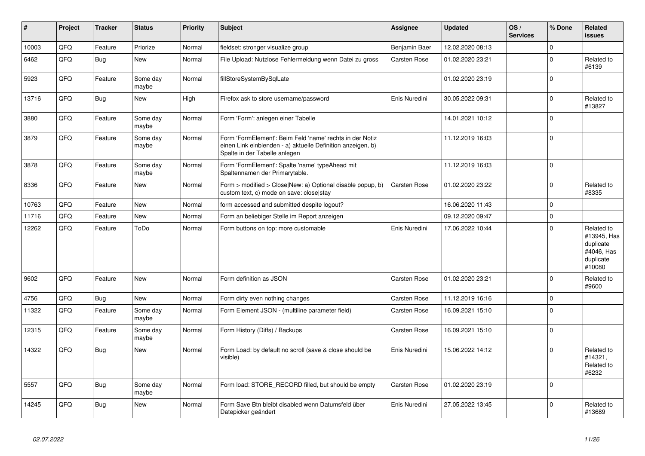| ∦     | Project | <b>Tracker</b> | <b>Status</b>     | <b>Priority</b> | <b>Subject</b>                                                                                                                                           | Assignee            | <b>Updated</b>   | OS/<br><b>Services</b> | % Done              | Related<br><b>issues</b>                                                    |
|-------|---------|----------------|-------------------|-----------------|----------------------------------------------------------------------------------------------------------------------------------------------------------|---------------------|------------------|------------------------|---------------------|-----------------------------------------------------------------------------|
| 10003 | QFQ     | Feature        | Priorize          | Normal          | fieldset: stronger visualize group                                                                                                                       | Benjamin Baer       | 12.02.2020 08:13 |                        | $\mathbf{0}$        |                                                                             |
| 6462  | QFQ     | <b>Bug</b>     | New               | Normal          | File Upload: Nutzlose Fehlermeldung wenn Datei zu gross                                                                                                  | Carsten Rose        | 01.02.2020 23:21 |                        | $\mathsf{O}\xspace$ | Related to<br>#6139                                                         |
| 5923  | QFQ     | Feature        | Some day<br>maybe | Normal          | fillStoreSystemBySqlLate                                                                                                                                 |                     | 01.02.2020 23:19 |                        | $\mathbf 0$         |                                                                             |
| 13716 | QFQ     | <b>Bug</b>     | New               | High            | Firefox ask to store username/password                                                                                                                   | Enis Nuredini       | 30.05.2022 09:31 |                        | $\mathbf 0$         | Related to<br>#13827                                                        |
| 3880  | QFQ     | Feature        | Some day<br>maybe | Normal          | Form 'Form': anlegen einer Tabelle                                                                                                                       |                     | 14.01.2021 10:12 |                        | $\Omega$            |                                                                             |
| 3879  | QFQ     | Feature        | Some day<br>maybe | Normal          | Form 'FormElement': Beim Feld 'name' rechts in der Notiz<br>einen Link einblenden - a) aktuelle Definition anzeigen, b)<br>Spalte in der Tabelle anlegen |                     | 11.12.2019 16:03 |                        | $\mathbf 0$         |                                                                             |
| 3878  | QFQ     | Feature        | Some day<br>maybe | Normal          | Form 'FormElement': Spalte 'name' typeAhead mit<br>Spaltennamen der Primarytable.                                                                        |                     | 11.12.2019 16:03 |                        | $\Omega$            |                                                                             |
| 8336  | QFQ     | Feature        | <b>New</b>        | Normal          | Form > modified > Close New: a) Optional disable popup, b)<br>custom text, c) mode on save: close stay                                                   | Carsten Rose        | 01.02.2020 23:22 |                        | $\mathsf 0$         | Related to<br>#8335                                                         |
| 10763 | QFQ     | Feature        | <b>New</b>        | Normal          | form accessed and submitted despite logout?                                                                                                              |                     | 16.06.2020 11:43 |                        | $\mathbf 0$         |                                                                             |
| 11716 | QFQ     | Feature        | <b>New</b>        | Normal          | Form an beliebiger Stelle im Report anzeigen                                                                                                             |                     | 09.12.2020 09:47 |                        | $\mathsf 0$         |                                                                             |
| 12262 | QFQ     | Feature        | ToDo              | Normal          | Form buttons on top: more customable                                                                                                                     | Enis Nuredini       | 17.06.2022 10:44 |                        | $\Omega$            | Related to<br>#13945, Has<br>duplicate<br>#4046, Has<br>duplicate<br>#10080 |
| 9602  | QFQ     | Feature        | <b>New</b>        | Normal          | Form definition as JSON                                                                                                                                  | <b>Carsten Rose</b> | 01.02.2020 23:21 |                        | $\mathbf 0$         | Related to<br>#9600                                                         |
| 4756  | QFQ     | <b>Bug</b>     | <b>New</b>        | Normal          | Form dirty even nothing changes                                                                                                                          | Carsten Rose        | 11.12.2019 16:16 |                        | $\Omega$            |                                                                             |
| 11322 | QFQ     | Feature        | Some day<br>maybe | Normal          | Form Element JSON - (multiline parameter field)                                                                                                          | Carsten Rose        | 16.09.2021 15:10 |                        | $\mathbf 0$         |                                                                             |
| 12315 | QFQ     | Feature        | Some day<br>maybe | Normal          | Form History (Diffs) / Backups                                                                                                                           | Carsten Rose        | 16.09.2021 15:10 |                        | $\Omega$            |                                                                             |
| 14322 | QFQ     | <b>Bug</b>     | New               | Normal          | Form Load: by default no scroll (save & close should be<br>visible)                                                                                      | Enis Nuredini       | 15.06.2022 14:12 |                        | $\mathbf 0$         | Related to<br>#14321,<br>Related to<br>#6232                                |
| 5557  | QFQ     | Bug            | Some day<br>maybe | Normal          | Form load: STORE RECORD filled, but should be empty                                                                                                      | Carsten Rose        | 01.02.2020 23:19 |                        | $\mathbf 0$         |                                                                             |
| 14245 | QFQ     | <b>Bug</b>     | New               | Normal          | Form Save Btn bleibt disabled wenn Datumsfeld über<br>Datepicker geändert                                                                                | Enis Nuredini       | 27.05.2022 13:45 |                        | $\Omega$            | Related to<br>#13689                                                        |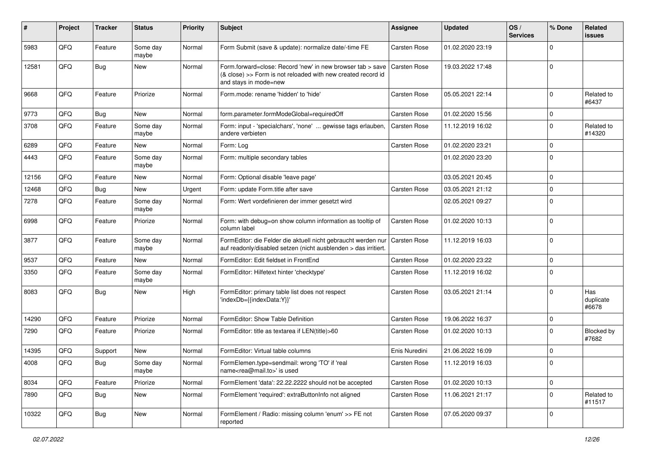| #     | Project | <b>Tracker</b> | <b>Status</b>     | <b>Priority</b> | Subject                                                                                                                                             | Assignee            | <b>Updated</b>   | OS/<br><b>Services</b> | % Done      | Related<br><b>issues</b>  |
|-------|---------|----------------|-------------------|-----------------|-----------------------------------------------------------------------------------------------------------------------------------------------------|---------------------|------------------|------------------------|-------------|---------------------------|
| 5983  | QFQ     | Feature        | Some day<br>maybe | Normal          | Form Submit (save & update): normalize date/-time FE                                                                                                | Carsten Rose        | 01.02.2020 23:19 |                        | $\Omega$    |                           |
| 12581 | QFQ     | Bug            | New               | Normal          | Form.forward=close: Record 'new' in new browser tab > save<br>(& close) >> Form is not reloaded with new created record id<br>and stays in mode=new | <b>Carsten Rose</b> | 19.03.2022 17:48 |                        | $\mathbf 0$ |                           |
| 9668  | QFQ     | Feature        | Priorize          | Normal          | Form.mode: rename 'hidden' to 'hide'                                                                                                                | Carsten Rose        | 05.05.2021 22:14 |                        | $\mathbf 0$ | Related to<br>#6437       |
| 9773  | QFQ     | <b>Bug</b>     | <b>New</b>        | Normal          | form.parameter.formModeGlobal=requiredOff                                                                                                           | Carsten Rose        | 01.02.2020 15:56 |                        | $\Omega$    |                           |
| 3708  | QFQ     | Feature        | Some day<br>maybe | Normal          | Form: input - 'specialchars', 'none'  gewisse tags erlauben,<br>andere verbieten                                                                    | <b>Carsten Rose</b> | 11.12.2019 16:02 |                        | $\Omega$    | Related to<br>#14320      |
| 6289  | QFQ     | Feature        | New               | Normal          | Form: Log                                                                                                                                           | Carsten Rose        | 01.02.2020 23:21 |                        | $\Omega$    |                           |
| 4443  | QFQ     | Feature        | Some day<br>maybe | Normal          | Form: multiple secondary tables                                                                                                                     |                     | 01.02.2020 23:20 |                        | $\Omega$    |                           |
| 12156 | QFQ     | Feature        | New               | Normal          | Form: Optional disable 'leave page'                                                                                                                 |                     | 03.05.2021 20:45 |                        | $\mathbf 0$ |                           |
| 12468 | QFQ     | Bug            | New               | Urgent          | Form: update Form.title after save                                                                                                                  | <b>Carsten Rose</b> | 03.05.2021 21:12 |                        | $\Omega$    |                           |
| 7278  | QFQ     | Feature        | Some day<br>maybe | Normal          | Form: Wert vordefinieren der immer gesetzt wird                                                                                                     |                     | 02.05.2021 09:27 |                        | $\Omega$    |                           |
| 6998  | QFQ     | Feature        | Priorize          | Normal          | Form: with debug=on show column information as tooltip of<br>column label                                                                           | Carsten Rose        | 01.02.2020 10:13 |                        | $\mathbf 0$ |                           |
| 3877  | QFQ     | Feature        | Some day<br>maybe | Normal          | FormEditor: die Felder die aktuell nicht gebraucht werden nur<br>auf readonly/disabled setzen (nicht ausblenden > das irritiert.                    | <b>Carsten Rose</b> | 11.12.2019 16:03 |                        | $\Omega$    |                           |
| 9537  | QFQ     | Feature        | New               | Normal          | FormEditor: Edit fieldset in FrontEnd                                                                                                               | Carsten Rose        | 01.02.2020 23:22 |                        | $\Omega$    |                           |
| 3350  | QFQ     | Feature        | Some day<br>maybe | Normal          | FormEditor: Hilfetext hinter 'checktype'                                                                                                            | Carsten Rose        | 11.12.2019 16:02 |                        | $\Omega$    |                           |
| 8083  | QFQ     | Bug            | New               | High            | FormEditor: primary table list does not respect<br>'indexDb={{indexData:Y}}'                                                                        | Carsten Rose        | 03.05.2021 21:14 |                        | $\mathbf 0$ | Has<br>duplicate<br>#6678 |
| 14290 | QFQ     | Feature        | Priorize          | Normal          | FormEditor: Show Table Definition                                                                                                                   | Carsten Rose        | 19.06.2022 16:37 |                        | $\mathbf 0$ |                           |
| 7290  | QFQ     | Feature        | Priorize          | Normal          | FormEditor: title as textarea if LEN(title)>60                                                                                                      | Carsten Rose        | 01.02.2020 10:13 |                        | $\mathbf 0$ | Blocked by<br>#7682       |
| 14395 | QFQ     | Support        | New               | Normal          | FormEditor: Virtual table columns                                                                                                                   | Enis Nuredini       | 21.06.2022 16:09 |                        | $\Omega$    |                           |
| 4008  | QFG     | Bug            | Some day<br>maybe | Normal          | FormElemen.type=sendmail: wrong 'TO' if 'real<br>name <rea@mail.to>' is used</rea@mail.to>                                                          | Carsten Rose        | 11.12.2019 16:03 |                        | $\Omega$    |                           |
| 8034  | QFQ     | Feature        | Priorize          | Normal          | FormElement 'data': 22.22.2222 should not be accepted                                                                                               | Carsten Rose        | 01.02.2020 10:13 |                        | $\mathbf 0$ |                           |
| 7890  | QFQ     | <b>Bug</b>     | New               | Normal          | FormElement 'required': extraButtonInfo not aligned                                                                                                 | Carsten Rose        | 11.06.2021 21:17 |                        | 0           | Related to<br>#11517      |
| 10322 | QFO     | <b>Bug</b>     | New               | Normal          | FormElement / Radio: missing column 'enum' >> FE not<br>reported                                                                                    | Carsten Rose        | 07.05.2020 09:37 |                        | 0           |                           |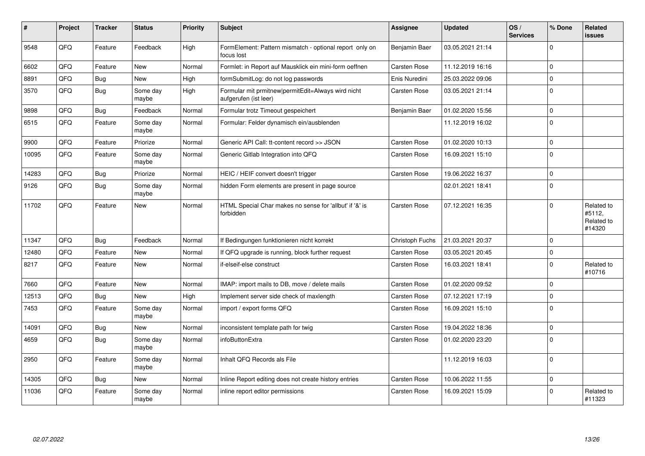| #     | <b>Project</b> | <b>Tracker</b> | <b>Status</b>     | Priority | <b>Subject</b>                                                              | Assignee            | <b>Updated</b>   | OS/<br><b>Services</b> | % Done      | Related<br>issues                            |
|-------|----------------|----------------|-------------------|----------|-----------------------------------------------------------------------------|---------------------|------------------|------------------------|-------------|----------------------------------------------|
| 9548  | QFQ            | Feature        | Feedback          | High     | FormElement: Pattern mismatch - optional report only on<br>focus lost       | Benjamin Baer       | 03.05.2021 21:14 |                        | $\Omega$    |                                              |
| 6602  | QFQ            | Feature        | <b>New</b>        | Normal   | Formlet: in Report auf Mausklick ein mini-form oeffnen                      | <b>Carsten Rose</b> | 11.12.2019 16:16 |                        | $\Omega$    |                                              |
| 8891  | QFQ            | Bug            | New               | High     | formSubmitLog: do not log passwords                                         | Enis Nuredini       | 25.03.2022 09:06 |                        | $\Omega$    |                                              |
| 3570  | QFQ            | Bug            | Some day<br>maybe | High     | Formular mit prmitnew permitEdit=Always wird nicht<br>aufgerufen (ist leer) | <b>Carsten Rose</b> | 03.05.2021 21:14 |                        | $\Omega$    |                                              |
| 9898  | QFQ            | <b>Bug</b>     | Feedback          | Normal   | Formular trotz Timeout gespeichert                                          | Benjamin Baer       | 01.02.2020 15:56 |                        | $\Omega$    |                                              |
| 6515  | QFQ            | Feature        | Some day<br>maybe | Normal   | Formular: Felder dynamisch ein/ausblenden                                   |                     | 11.12.2019 16:02 |                        | $\Omega$    |                                              |
| 9900  | QFQ            | Feature        | Priorize          | Normal   | Generic API Call: tt-content record >> JSON                                 | Carsten Rose        | 01.02.2020 10:13 |                        | $\mathbf 0$ |                                              |
| 10095 | QFQ            | Feature        | Some day<br>maybe | Normal   | Generic Gitlab Integration into QFQ                                         | <b>Carsten Rose</b> | 16.09.2021 15:10 |                        | $\Omega$    |                                              |
| 14283 | QFQ            | Bug            | Priorize          | Normal   | HEIC / HEIF convert doesn't trigger                                         | <b>Carsten Rose</b> | 19.06.2022 16:37 |                        | $\mathbf 0$ |                                              |
| 9126  | QFQ            | Bug            | Some dav<br>maybe | Normal   | hidden Form elements are present in page source                             |                     | 02.01.2021 18:41 |                        | $\Omega$    |                                              |
| 11702 | QFQ            | Feature        | <b>New</b>        | Normal   | HTML Special Char makes no sense for 'allbut' if '&' is<br>forbidden        | <b>Carsten Rose</b> | 07.12.2021 16:35 |                        | $\Omega$    | Related to<br>#5112,<br>Related to<br>#14320 |
| 11347 | QFQ            | <b>Bug</b>     | Feedback          | Normal   | If Bedingungen funktionieren nicht korrekt                                  | Christoph Fuchs     | 21.03.2021 20:37 |                        | $\Omega$    |                                              |
| 12480 | QFQ            | Feature        | New               | Normal   | If QFQ upgrade is running, block further request                            | <b>Carsten Rose</b> | 03.05.2021 20:45 |                        | $\mathbf 0$ |                                              |
| 8217  | QFQ            | Feature        | New               | Normal   | if-elseif-else construct                                                    | <b>Carsten Rose</b> | 16.03.2021 18:41 |                        | $\Omega$    | Related to<br>#10716                         |
| 7660  | QFQ            | Feature        | <b>New</b>        | Normal   | IMAP: import mails to DB, move / delete mails                               | <b>Carsten Rose</b> | 01.02.2020 09:52 |                        | $\Omega$    |                                              |
| 12513 | QFQ            | <b>Bug</b>     | <b>New</b>        | High     | Implement server side check of maxlength                                    | Carsten Rose        | 07.12.2021 17:19 |                        | $\Omega$    |                                              |
| 7453  | QFQ            | Feature        | Some day<br>maybe | Normal   | import / export forms QFQ                                                   | <b>Carsten Rose</b> | 16.09.2021 15:10 |                        | $\mathbf 0$ |                                              |
| 14091 | QFQ            | <b>Bug</b>     | <b>New</b>        | Normal   | inconsistent template path for twig                                         | <b>Carsten Rose</b> | 19.04.2022 18:36 |                        | $\Omega$    |                                              |
| 4659  | QFQ            | Bug            | Some day<br>maybe | Normal   | infoButtonExtra                                                             | Carsten Rose        | 01.02.2020 23:20 |                        | $\Omega$    |                                              |
| 2950  | QFQ            | Feature        | Some day<br>maybe | Normal   | Inhalt QFQ Records als File                                                 |                     | 11.12.2019 16:03 |                        | $\mathbf 0$ |                                              |
| 14305 | QFQ            | <b>Bug</b>     | <b>New</b>        | Normal   | Inline Report editing does not create history entries                       | <b>Carsten Rose</b> | 10.06.2022 11:55 |                        | $\Omega$    |                                              |
| 11036 | QFQ            | Feature        | Some day<br>maybe | Normal   | inline report editor permissions                                            | <b>Carsten Rose</b> | 16.09.2021 15:09 |                        | $\Omega$    | Related to<br>#11323                         |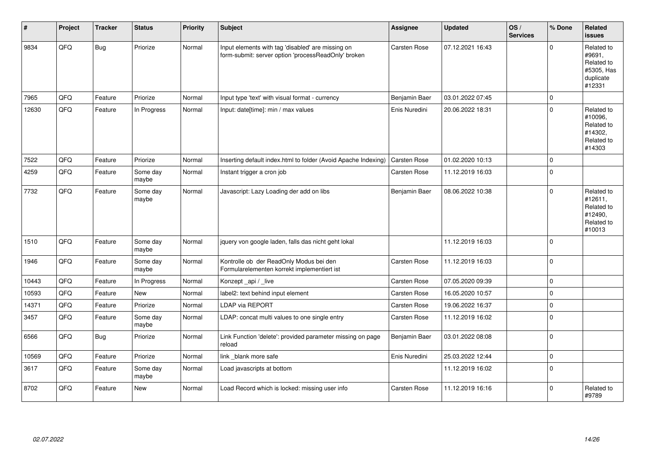| #     | Project | <b>Tracker</b> | <b>Status</b>     | <b>Priority</b> | Subject                                                                                                  | Assignee            | <b>Updated</b>   | OS/<br><b>Services</b> | % Done      | Related<br><b>issues</b>                                                |
|-------|---------|----------------|-------------------|-----------------|----------------------------------------------------------------------------------------------------------|---------------------|------------------|------------------------|-------------|-------------------------------------------------------------------------|
| 9834  | QFQ     | Bug            | Priorize          | Normal          | Input elements with tag 'disabled' are missing on<br>form-submit: server option 'processReadOnly' broken | Carsten Rose        | 07.12.2021 16:43 |                        | $\Omega$    | Related to<br>#9691,<br>Related to<br>#5305, Has<br>duplicate<br>#12331 |
| 7965  | QFQ     | Feature        | Priorize          | Normal          | Input type 'text' with visual format - currency                                                          | Benjamin Baer       | 03.01.2022 07:45 |                        | $\mathbf 0$ |                                                                         |
| 12630 | QFQ     | Feature        | In Progress       | Normal          | Input: date[time]: min / max values                                                                      | Enis Nuredini       | 20.06.2022 18:31 |                        | $\mathbf 0$ | Related to<br>#10096,<br>Related to<br>#14302.<br>Related to<br>#14303  |
| 7522  | QFQ     | Feature        | Priorize          | Normal          | Inserting default index.html to folder (Avoid Apache Indexing)                                           | Carsten Rose        | 01.02.2020 10:13 |                        | $\mathbf 0$ |                                                                         |
| 4259  | QFQ     | Feature        | Some day<br>maybe | Normal          | Instant trigger a cron job                                                                               | Carsten Rose        | 11.12.2019 16:03 |                        | $\mathbf 0$ |                                                                         |
| 7732  | QFQ     | Feature        | Some day<br>maybe | Normal          | Javascript: Lazy Loading der add on libs                                                                 | Benjamin Baer       | 08.06.2022 10:38 |                        | $\mathbf 0$ | Related to<br>#12611,<br>Related to<br>#12490,<br>Related to<br>#10013  |
| 1510  | QFQ     | Feature        | Some day<br>maybe | Normal          | jquery von google laden, falls das nicht geht lokal                                                      |                     | 11.12.2019 16:03 |                        | $\mathbf 0$ |                                                                         |
| 1946  | QFQ     | Feature        | Some day<br>maybe | Normal          | Kontrolle ob der ReadOnly Modus bei den<br>Formularelementen korrekt implementiert ist                   | Carsten Rose        | 11.12.2019 16:03 |                        | $\Omega$    |                                                                         |
| 10443 | QFQ     | Feature        | In Progress       | Normal          | Konzept api / live                                                                                       | Carsten Rose        | 07.05.2020 09:39 |                        | $\mathsf 0$ |                                                                         |
| 10593 | QFQ     | Feature        | New               | Normal          | label2: text behind input element                                                                        | Carsten Rose        | 16.05.2020 10:57 |                        | $\pmb{0}$   |                                                                         |
| 14371 | QFQ     | Feature        | Priorize          | Normal          | <b>LDAP via REPORT</b>                                                                                   | Carsten Rose        | 19.06.2022 16:37 |                        | $\pmb{0}$   |                                                                         |
| 3457  | QFG     | Feature        | Some day<br>maybe | Normal          | LDAP: concat multi values to one single entry                                                            | <b>Carsten Rose</b> | 11.12.2019 16:02 |                        | $\pmb{0}$   |                                                                         |
| 6566  | QFQ     | Bug            | Priorize          | Normal          | Link Function 'delete': provided parameter missing on page<br>reload                                     | Benjamin Baer       | 03.01.2022 08:08 |                        | $\pmb{0}$   |                                                                         |
| 10569 | QFQ     | Feature        | Priorize          | Normal          | link _blank more safe                                                                                    | Enis Nuredini       | 25.03.2022 12:44 |                        | $\mathsf 0$ |                                                                         |
| 3617  | QFQ     | Feature        | Some day<br>maybe | Normal          | Load javascripts at bottom                                                                               |                     | 11.12.2019 16:02 |                        | $\mathbf 0$ |                                                                         |
| 8702  | QFQ     | Feature        | <b>New</b>        | Normal          | Load Record which is locked: missing user info                                                           | <b>Carsten Rose</b> | 11.12.2019 16:16 |                        | $\mathbf 0$ | Related to<br>#9789                                                     |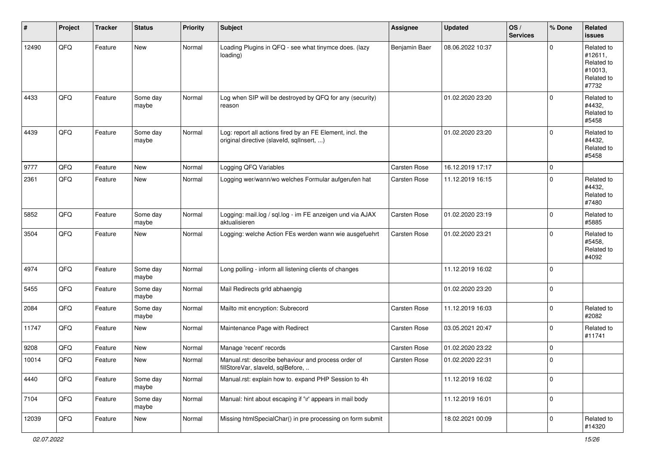| #     | Project | <b>Tracker</b> | <b>Status</b>     | <b>Priority</b> | <b>Subject</b>                                                                                         | <b>Assignee</b> | <b>Updated</b>   | OS/<br><b>Services</b> | % Done      | Related<br><b>issues</b>                                              |
|-------|---------|----------------|-------------------|-----------------|--------------------------------------------------------------------------------------------------------|-----------------|------------------|------------------------|-------------|-----------------------------------------------------------------------|
| 12490 | QFQ     | Feature        | New               | Normal          | Loading Plugins in QFQ - see what tinymce does. (lazy<br>loading)                                      | Benjamin Baer   | 08.06.2022 10:37 |                        | $\Omega$    | Related to<br>#12611,<br>Related to<br>#10013.<br>Related to<br>#7732 |
| 4433  | QFQ     | Feature        | Some day<br>maybe | Normal          | Log when SIP will be destroyed by QFQ for any (security)<br>reason                                     |                 | 01.02.2020 23:20 |                        | $\mathbf 0$ | Related to<br>#4432,<br>Related to<br>#5458                           |
| 4439  | QFQ     | Feature        | Some day<br>maybe | Normal          | Log: report all actions fired by an FE Element, incl. the<br>original directive (slaveld, sqllnsert, ) |                 | 01.02.2020 23:20 |                        | $\mathbf 0$ | Related to<br>#4432,<br>Related to<br>#5458                           |
| 9777  | QFQ     | Feature        | <b>New</b>        | Normal          | Logging QFQ Variables                                                                                  | Carsten Rose    | 16.12.2019 17:17 |                        | $\mathbf 0$ |                                                                       |
| 2361  | QFQ     | Feature        | <b>New</b>        | Normal          | Logging wer/wann/wo welches Formular aufgerufen hat                                                    | Carsten Rose    | 11.12.2019 16:15 |                        | $\mathbf 0$ | Related to<br>#4432,<br>Related to<br>#7480                           |
| 5852  | QFQ     | Feature        | Some day<br>maybe | Normal          | Logging: mail.log / sql.log - im FE anzeigen und via AJAX<br>aktualisieren                             | Carsten Rose    | 01.02.2020 23:19 |                        | $\mathbf 0$ | Related to<br>#5885                                                   |
| 3504  | QFQ     | Feature        | <b>New</b>        | Normal          | Logging: welche Action FEs werden wann wie ausgefuehrt                                                 | Carsten Rose    | 01.02.2020 23:21 |                        | $\mathbf 0$ | Related to<br>#5458,<br>Related to<br>#4092                           |
| 4974  | QFQ     | Feature        | Some day<br>maybe | Normal          | Long polling - inform all listening clients of changes                                                 |                 | 11.12.2019 16:02 |                        | $\mathbf 0$ |                                                                       |
| 5455  | QFQ     | Feature        | Some day<br>maybe | Normal          | Mail Redirects grld abhaengig                                                                          |                 | 01.02.2020 23:20 |                        | $\mathbf 0$ |                                                                       |
| 2084  | QFQ     | Feature        | Some day<br>maybe | Normal          | Mailto mit encryption: Subrecord                                                                       | Carsten Rose    | 11.12.2019 16:03 |                        | $\mathbf 0$ | Related to<br>#2082                                                   |
| 11747 | QFQ     | Feature        | <b>New</b>        | Normal          | Maintenance Page with Redirect                                                                         | Carsten Rose    | 03.05.2021 20:47 |                        | $\mathbf 0$ | Related to<br>#11741                                                  |
| 9208  | QFQ     | Feature        | <b>New</b>        | Normal          | Manage 'recent' records                                                                                | Carsten Rose    | 01.02.2020 23:22 |                        | $\mathbf 0$ |                                                                       |
| 10014 | QFQ     | Feature        | New               | Normal          | Manual.rst: describe behaviour and process order of<br>fillStoreVar, slaveId, sqlBefore,               | Carsten Rose    | 01.02.2020 22:31 |                        | $\mathbf 0$ |                                                                       |
| 4440  | QFQ     | Feature        | Some day<br>maybe | Normal          | Manual.rst: explain how to. expand PHP Session to 4h                                                   |                 | 11.12.2019 16:02 |                        | $\mathbf 0$ |                                                                       |
| 7104  | QFQ     | Feature        | Some day<br>maybe | Normal          | Manual: hint about escaping if '\r' appears in mail body                                               |                 | 11.12.2019 16:01 |                        | $\mathbf 0$ |                                                                       |
| 12039 | QFQ     | Feature        | New               | Normal          | Missing htmlSpecialChar() in pre processing on form submit                                             |                 | 18.02.2021 00:09 |                        | $\mathbf 0$ | Related to<br>#14320                                                  |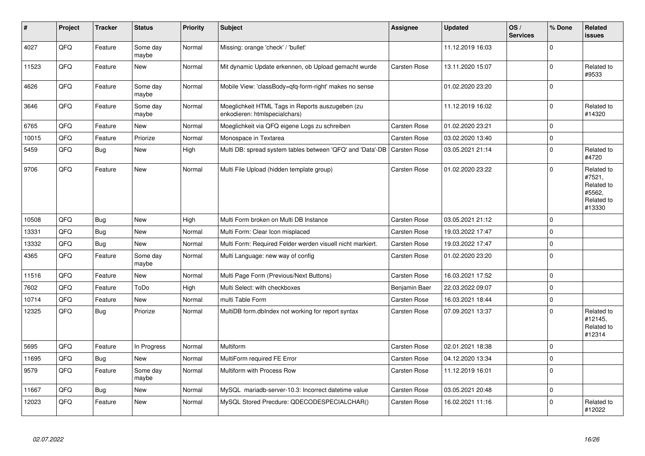| #     | Project | <b>Tracker</b> | <b>Status</b>     | <b>Priority</b> | <b>Subject</b>                                                                    | Assignee            | <b>Updated</b>   | OS/<br><b>Services</b> | % Done      | Related<br><b>issues</b>                                             |
|-------|---------|----------------|-------------------|-----------------|-----------------------------------------------------------------------------------|---------------------|------------------|------------------------|-------------|----------------------------------------------------------------------|
| 4027  | QFQ     | Feature        | Some day<br>maybe | Normal          | Missing: orange 'check' / 'bullet'                                                |                     | 11.12.2019 16:03 |                        | $\Omega$    |                                                                      |
| 11523 | QFQ     | Feature        | <b>New</b>        | Normal          | Mit dynamic Update erkennen, ob Upload gemacht wurde                              | <b>Carsten Rose</b> | 13.11.2020 15:07 |                        | $\mathbf 0$ | Related to<br>#9533                                                  |
| 4626  | QFQ     | Feature        | Some day<br>maybe | Normal          | Mobile View: 'classBody=qfq-form-right' makes no sense                            |                     | 01.02.2020 23:20 |                        | $\mathbf 0$ |                                                                      |
| 3646  | QFQ     | Feature        | Some day<br>maybe | Normal          | Moeglichkeit HTML Tags in Reports auszugeben (zu<br>enkodieren: htmlspecialchars) |                     | 11.12.2019 16:02 |                        | $\Omega$    | Related to<br>#14320                                                 |
| 6765  | QFQ     | Feature        | New               | Normal          | Moeglichkeit via QFQ eigene Logs zu schreiben                                     | Carsten Rose        | 01.02.2020 23:21 |                        | $\Omega$    |                                                                      |
| 10015 | QFQ     | Feature        | Priorize          | Normal          | Monospace in Textarea                                                             | <b>Carsten Rose</b> | 03.02.2020 13:40 |                        | $\mathbf 0$ |                                                                      |
| 5459  | QFQ     | <b>Bug</b>     | <b>New</b>        | High            | Multi DB: spread system tables between 'QFQ' and 'Data'-DB                        | Carsten Rose        | 03.05.2021 21:14 |                        | $\mathbf 0$ | Related to<br>#4720                                                  |
| 9706  | QFQ     | Feature        | <b>New</b>        | Normal          | Multi File Upload (hidden template group)                                         | <b>Carsten Rose</b> | 01.02.2020 23:22 |                        | $\Omega$    | Related to<br>#7521,<br>Related to<br>#5562,<br>Related to<br>#13330 |
| 10508 | QFQ     | Bug            | <b>New</b>        | High            | Multi Form broken on Multi DB Instance                                            | <b>Carsten Rose</b> | 03.05.2021 21:12 |                        | $\mathbf 0$ |                                                                      |
| 13331 | QFQ     | Bug            | <b>New</b>        | Normal          | Multi Form: Clear Icon misplaced                                                  | <b>Carsten Rose</b> | 19.03.2022 17:47 |                        | $\mathbf 0$ |                                                                      |
| 13332 | QFQ     | <b>Bug</b>     | <b>New</b>        | Normal          | Multi Form: Required Felder werden visuell nicht markiert.                        | Carsten Rose        | 19.03.2022 17:47 |                        | $\mathbf 0$ |                                                                      |
| 4365  | QFQ     | Feature        | Some day<br>maybe | Normal          | Multi Language: new way of config                                                 | Carsten Rose        | 01.02.2020 23:20 |                        | $\mathbf 0$ |                                                                      |
| 11516 | QFQ     | Feature        | New               | Normal          | Multi Page Form (Previous/Next Buttons)                                           | Carsten Rose        | 16.03.2021 17:52 |                        | $\mathbf 0$ |                                                                      |
| 7602  | QFQ     | Feature        | ToDo              | High            | Multi Select: with checkboxes                                                     | Benjamin Baer       | 22.03.2022 09:07 |                        | $\mathbf 0$ |                                                                      |
| 10714 | QFQ     | Feature        | New               | Normal          | multi Table Form                                                                  | <b>Carsten Rose</b> | 16.03.2021 18:44 |                        | $\mathbf 0$ |                                                                      |
| 12325 | QFQ     | Bug            | Priorize          | Normal          | MultiDB form.dblndex not working for report syntax                                | Carsten Rose        | 07.09.2021 13:37 |                        | $\mathbf 0$ | Related to<br>#12145,<br>Related to<br>#12314                        |
| 5695  | QFQ     | Feature        | In Progress       | Normal          | Multiform                                                                         | <b>Carsten Rose</b> | 02.01.2021 18:38 |                        | $\Omega$    |                                                                      |
| 11695 | QFQ     | Bug            | New               | Normal          | MultiForm required FE Error                                                       | <b>Carsten Rose</b> | 04.12.2020 13:34 |                        | $\mathbf 0$ |                                                                      |
| 9579  | QFQ     | Feature        | Some day<br>maybe | Normal          | Multiform with Process Row                                                        | <b>Carsten Rose</b> | 11.12.2019 16:01 |                        | $\Omega$    |                                                                      |
| 11667 | QFQ     | Bug            | New               | Normal          | MySQL mariadb-server-10.3: Incorrect datetime value                               | <b>Carsten Rose</b> | 03.05.2021 20:48 |                        | $\mathbf 0$ |                                                                      |
| 12023 | QFQ     | Feature        | <b>New</b>        | Normal          | MySQL Stored Precdure: QDECODESPECIALCHAR()                                       | <b>Carsten Rose</b> | 16.02.2021 11:16 |                        | $\Omega$    | Related to<br>#12022                                                 |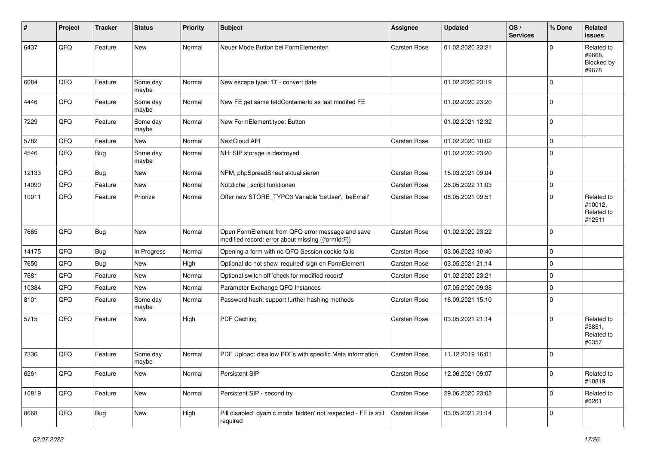| #     | Project | <b>Tracker</b> | <b>Status</b>     | <b>Priority</b> | <b>Subject</b>                                                                                        | Assignee            | <b>Updated</b>   | OS/<br><b>Services</b> | % Done      | Related<br><b>issues</b>                      |
|-------|---------|----------------|-------------------|-----------------|-------------------------------------------------------------------------------------------------------|---------------------|------------------|------------------------|-------------|-----------------------------------------------|
| 6437  | QFQ     | Feature        | New               | Normal          | Neuer Mode Button bei FormElementen                                                                   | Carsten Rose        | 01.02.2020 23:21 |                        | $\Omega$    | Related to<br>#9668.<br>Blocked by<br>#9678   |
| 6084  | QFQ     | Feature        | Some day<br>maybe | Normal          | New escape type: 'D' - convert date                                                                   |                     | 01.02.2020 23:19 |                        | $\Omega$    |                                               |
| 4446  | QFQ     | Feature        | Some day<br>maybe | Normal          | New FE get same feldContainerId as last modifed FE                                                    |                     | 01.02.2020 23:20 |                        | $\mathbf 0$ |                                               |
| 7229  | QFQ     | Feature        | Some day<br>maybe | Normal          | New FormElement.type: Button                                                                          |                     | 01.02.2021 12:32 |                        | $\mathbf 0$ |                                               |
| 5782  | QFQ     | Feature        | <b>New</b>        | Normal          | NextCloud API                                                                                         | Carsten Rose        | 01.02.2020 10:02 |                        | $\mathbf 0$ |                                               |
| 4546  | QFQ     | <b>Bug</b>     | Some day<br>maybe | Normal          | NH: SIP storage is destroyed                                                                          |                     | 01.02.2020 23:20 |                        | $\mathbf 0$ |                                               |
| 12133 | QFQ     | <b>Bug</b>     | <b>New</b>        | Normal          | NPM, phpSpreadSheet aktualisieren                                                                     | Carsten Rose        | 15.03.2021 09:04 |                        | $\mathbf 0$ |                                               |
| 14090 | QFQ     | Feature        | <b>New</b>        | Normal          | Nützliche _script funktionen                                                                          | Carsten Rose        | 28.05.2022 11:03 |                        | $\mathbf 0$ |                                               |
| 10011 | QFQ     | Feature        | Priorize          | Normal          | Offer new STORE_TYPO3 Variable 'beUser', 'beEmail'                                                    | Carsten Rose        | 08.05.2021 09:51 |                        | $\Omega$    | Related to<br>#10012,<br>Related to<br>#12511 |
| 7685  | QFQ     | Bug            | <b>New</b>        | Normal          | Open FormElement from QFQ error message and save<br>modified record: error about missing {{formId:F}} | Carsten Rose        | 01.02.2020 23:22 |                        | $\Omega$    |                                               |
| 14175 | QFQ     | <b>Bug</b>     | In Progress       | Normal          | Opening a form with no QFQ Session cookie fails                                                       | Carsten Rose        | 03.06.2022 10:40 |                        | $\mathbf 0$ |                                               |
| 7650  | QFQ     | <b>Bug</b>     | New               | High            | Optional do not show 'required' sign on FormElement                                                   | Carsten Rose        | 03.05.2021 21:14 |                        | $\mathbf 0$ |                                               |
| 7681  | QFQ     | Feature        | New               | Normal          | Optional switch off 'check for modified record'                                                       | Carsten Rose        | 01.02.2020 23:21 |                        | $\mathbf 0$ |                                               |
| 10384 | QFQ     | Feature        | New               | Normal          | Parameter Exchange QFQ Instances                                                                      |                     | 07.05.2020 09:38 |                        | $\mathbf 0$ |                                               |
| 8101  | QFQ     | Feature        | Some day<br>maybe | Normal          | Password hash: support further hashing methods                                                        | Carsten Rose        | 16.09.2021 15:10 |                        | $\Omega$    |                                               |
| 5715  | QFQ     | Feature        | New               | High            | PDF Caching                                                                                           | Carsten Rose        | 03.05.2021 21:14 |                        | $\Omega$    | Related to<br>#5851,<br>Related to<br>#6357   |
| 7336  | QFQ     | Feature        | Some day<br>maybe | Normal          | PDF Upload: disallow PDFs with specific Meta information                                              | Carsten Rose        | 11.12.2019 16:01 |                        | $\mathbf 0$ |                                               |
| 6261  | QFQ     | Feature        | New               | Normal          | Persistent SIP                                                                                        | Carsten Rose        | 12.06.2021 09:07 |                        | $\mathbf 0$ | Related to<br>#10819                          |
| 10819 | QFQ     | Feature        | New               | Normal          | Persistent SIP - second try                                                                           | Carsten Rose        | 29.06.2020 23:02 |                        | $\mathbf 0$ | Related to<br>#6261                           |
| 8668  | QFQ     | <b>Bug</b>     | New               | High            | Pill disabled: dyamic mode 'hidden' not respected - FE is still<br>required                           | <b>Carsten Rose</b> | 03.05.2021 21:14 |                        | 0           |                                               |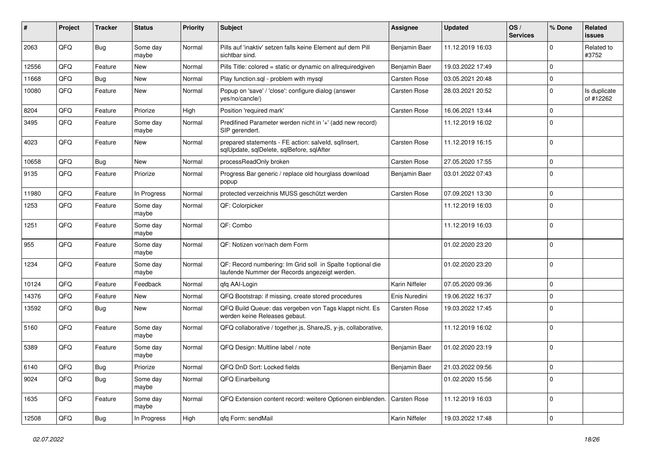| #     | Project | <b>Tracker</b> | <b>Status</b>     | <b>Priority</b> | <b>Subject</b>                                                                                               | Assignee            | <b>Updated</b>   | OS/<br><b>Services</b> | % Done       | Related<br>issues         |
|-------|---------|----------------|-------------------|-----------------|--------------------------------------------------------------------------------------------------------------|---------------------|------------------|------------------------|--------------|---------------------------|
| 2063  | QFQ     | Bug            | Some day<br>maybe | Normal          | Pills auf 'inaktiv' setzen falls keine Element auf dem Pill<br>sichtbar sind.                                | Benjamin Baer       | 11.12.2019 16:03 |                        | <sup>0</sup> | Related to<br>#3752       |
| 12556 | QFQ     | Feature        | New               | Normal          | Pills Title: colored = static or dynamic on allrequiredgiven                                                 | Benjamin Baer       | 19.03.2022 17:49 |                        | $\Omega$     |                           |
| 11668 | QFQ     | Bug            | <b>New</b>        | Normal          | Play function.sql - problem with mysql                                                                       | Carsten Rose        | 03.05.2021 20:48 |                        | $\Omega$     |                           |
| 10080 | QFQ     | Feature        | <b>New</b>        | Normal          | Popup on 'save' / 'close': configure dialog (answer<br>yes/no/cancle/)                                       | Carsten Rose        | 28.03.2021 20:52 |                        | 0            | Is duplicate<br>of #12262 |
| 8204  | QFQ     | Feature        | Priorize          | High            | Position 'required mark'                                                                                     | <b>Carsten Rose</b> | 16.06.2021 13:44 |                        | $\mathbf 0$  |                           |
| 3495  | QFQ     | Feature        | Some day<br>maybe | Normal          | Predifined Parameter werden nicht in '+' (add new record)<br>SIP gerendert.                                  |                     | 11.12.2019 16:02 |                        | $\Omega$     |                           |
| 4023  | QFQ     | Feature        | <b>New</b>        | Normal          | prepared statements - FE action: salveld, sqlInsert,<br>sqlUpdate, sqlDelete, sqlBefore, sqlAfter            | Carsten Rose        | 11.12.2019 16:15 |                        | $\Omega$     |                           |
| 10658 | QFQ     | Bug            | New               | Normal          | processReadOnly broken                                                                                       | Carsten Rose        | 27.05.2020 17:55 |                        | $\mathbf 0$  |                           |
| 9135  | QFQ     | Feature        | Priorize          | Normal          | Progress Bar generic / replace old hourglass download<br>popup                                               | Benjamin Baer       | 03.01.2022 07:43 |                        | $\Omega$     |                           |
| 11980 | QFQ     | Feature        | In Progress       | Normal          | protected verzeichnis MUSS geschützt werden                                                                  | Carsten Rose        | 07.09.2021 13:30 |                        | $\mathbf 0$  |                           |
| 1253  | QFQ     | Feature        | Some day<br>maybe | Normal          | QF: Colorpicker                                                                                              |                     | 11.12.2019 16:03 |                        | $\Omega$     |                           |
| 1251  | QFQ     | Feature        | Some day<br>maybe | Normal          | QF: Combo                                                                                                    |                     | 11.12.2019 16:03 |                        | $\Omega$     |                           |
| 955   | QFQ     | Feature        | Some day<br>maybe | Normal          | QF: Notizen vor/nach dem Form                                                                                |                     | 01.02.2020 23:20 |                        | $\mathbf 0$  |                           |
| 1234  | QFQ     | Feature        | Some day<br>maybe | Normal          | QF: Record numbering: Im Grid soll in Spalte 1 optional die<br>laufende Nummer der Records angezeigt werden. |                     | 01.02.2020 23:20 |                        | $\Omega$     |                           |
| 10124 | QFQ     | Feature        | Feedback          | Normal          | qfq AAI-Login                                                                                                | Karin Niffeler      | 07.05.2020 09:36 |                        | $\Omega$     |                           |
| 14376 | QFQ     | Feature        | New               | Normal          | QFQ Bootstrap: if missing, create stored procedures                                                          | Enis Nuredini       | 19.06.2022 16:37 |                        | $\mathbf 0$  |                           |
| 13592 | QFQ     | Bug            | <b>New</b>        | Normal          | QFQ Build Queue: das vergeben von Tags klappt nicht. Es<br>werden keine Releases gebaut.                     | <b>Carsten Rose</b> | 19.03.2022 17:45 |                        | $\Omega$     |                           |
| 5160  | QFQ     | Feature        | Some day<br>maybe | Normal          | QFQ collaborative / together.js, ShareJS, y-js, collaborative,                                               |                     | 11.12.2019 16:02 |                        | $\Omega$     |                           |
| 5389  | QFQ     | Feature        | Some day<br>maybe | Normal          | QFQ Design: Multline label / note                                                                            | Benjamin Baer       | 01.02.2020 23:19 |                        | $\Omega$     |                           |
| 6140  | QFQ     | <b>Bug</b>     | Priorize          | Normal          | QFQ DnD Sort: Locked fields                                                                                  | Benjamin Baer       | 21.03.2022 09:56 |                        | 0            |                           |
| 9024  | QFQ     | Bug            | Some day<br>maybe | Normal          | QFQ Einarbeitung                                                                                             |                     | 01.02.2020 15:56 |                        | $\mathbf 0$  |                           |
| 1635  | QFQ     | Feature        | Some day<br>maybe | Normal          | QFQ Extension content record: weitere Optionen einblenden.                                                   | <b>Carsten Rose</b> | 11.12.2019 16:03 |                        | $\Omega$     |                           |
| 12508 | QFQ     | Bug            | In Progress       | High            | qfq Form: sendMail                                                                                           | Karin Niffeler      | 19.03.2022 17:48 |                        | $\mathbf 0$  |                           |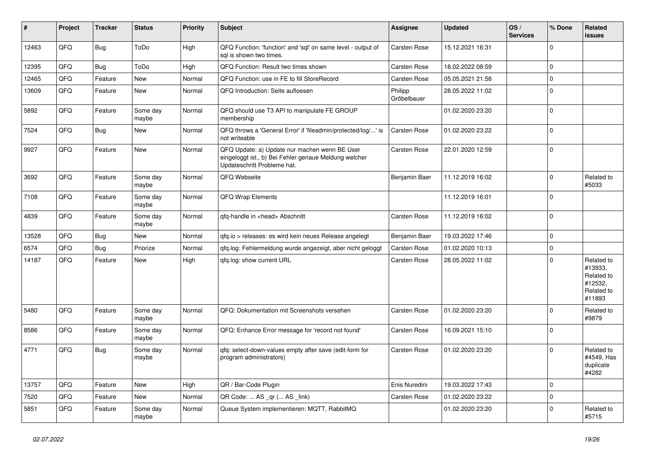| #     | Project | <b>Tracker</b> | <b>Status</b>     | <b>Priority</b> | <b>Subject</b>                                                                                                                        | <b>Assignee</b>        | <b>Updated</b>   | OS/<br><b>Services</b> | % Done         | Related<br>issues                                                      |
|-------|---------|----------------|-------------------|-----------------|---------------------------------------------------------------------------------------------------------------------------------------|------------------------|------------------|------------------------|----------------|------------------------------------------------------------------------|
| 12463 | QFQ     | <b>Bug</b>     | ToDo              | High            | QFQ Function: 'function' and 'sql' on same level - output of<br>sal is shown two times.                                               | <b>Carsten Rose</b>    | 15.12.2021 16:31 |                        | $\Omega$       |                                                                        |
| 12395 | QFQ     | Bug            | ToDo              | High            | QFQ Function: Result two times shown                                                                                                  | <b>Carsten Rose</b>    | 18.02.2022 08:59 |                        | $\mathbf 0$    |                                                                        |
| 12465 | QFQ     | Feature        | <b>New</b>        | Normal          | QFQ Function: use in FE to fill StoreRecord                                                                                           | <b>Carsten Rose</b>    | 05.05.2021 21:58 |                        | $\mathbf 0$    |                                                                        |
| 13609 | QFQ     | Feature        | New               | Normal          | QFQ Introduction: Seite aufloesen                                                                                                     | Philipp<br>Gröbelbauer | 28.05.2022 11:02 |                        | $\mathbf 0$    |                                                                        |
| 5892  | QFQ     | Feature        | Some day<br>maybe | Normal          | QFQ should use T3 API to manipulate FE GROUP<br>membership                                                                            |                        | 01.02.2020 23:20 |                        | $\Omega$       |                                                                        |
| 7524  | QFQ     | Bug            | <b>New</b>        | Normal          | QFQ throws a 'General Error' if 'fileadmin/protected/log/' is<br>not writeable                                                        | <b>Carsten Rose</b>    | 01.02.2020 23:22 |                        | $\Omega$       |                                                                        |
| 9927  | QFQ     | Feature        | New               | Normal          | QFQ Update: a) Update nur machen wenn BE User<br>eingeloggt ist., b) Bei Fehler genaue Meldung welcher<br>Updateschritt Probleme hat. | <b>Carsten Rose</b>    | 22.01.2020 12:59 |                        | $\mathbf 0$    |                                                                        |
| 3692  | QFQ     | Feature        | Some day<br>maybe | Normal          | QFQ Webseite                                                                                                                          | Benjamin Baer          | 11.12.2019 16:02 |                        | $\Omega$       | Related to<br>#5033                                                    |
| 7108  | QFQ     | Feature        | Some day<br>maybe | Normal          | <b>QFQ Wrap Elements</b>                                                                                                              |                        | 11.12.2019 16:01 |                        | $\Omega$       |                                                                        |
| 4839  | QFQ     | Feature        | Some day<br>maybe | Normal          | qfq-handle in <head> Abschnitt</head>                                                                                                 | <b>Carsten Rose</b>    | 11.12.2019 16:02 |                        | $\Omega$       |                                                                        |
| 13528 | QFQ     | Bug            | <b>New</b>        | Normal          | gfg.io > releases: es wird kein neues Release angelegt                                                                                | Benjamin Baer          | 19.03.2022 17:46 |                        | $\Omega$       |                                                                        |
| 6574  | QFQ     | Bug            | Priorize          | Normal          | qfq.log: Fehlermeldung wurde angezeigt, aber nicht geloggt                                                                            | <b>Carsten Rose</b>    | 01.02.2020 10:13 |                        | $\mathbf 0$    |                                                                        |
| 14187 | QFQ     | Feature        | <b>New</b>        | High            | qfq.log: show current URL                                                                                                             | <b>Carsten Rose</b>    | 28.05.2022 11:02 |                        | $\Omega$       | Related to<br>#13933,<br>Related to<br>#12532,<br>Related to<br>#11893 |
| 5480  | QFQ     | Feature        | Some day<br>maybe | Normal          | QFQ: Dokumentation mit Screenshots versehen                                                                                           | <b>Carsten Rose</b>    | 01.02.2020 23:20 |                        | $\Omega$       | Related to<br>#9879                                                    |
| 8586  | QFQ     | Feature        | Some day<br>maybe | Normal          | QFQ: Enhance Error message for 'record not found'                                                                                     | <b>Carsten Rose</b>    | 16.09.2021 15:10 |                        | $\Omega$       |                                                                        |
| 4771  | QFQ     | Bug            | Some day<br>maybe | Normal          | gfg: select-down-values empty after save (edit-form for<br>program administrators)                                                    | <b>Carsten Rose</b>    | 01.02.2020 23:20 |                        | $\Omega$       | Related to<br>#4549, Has<br>duplicate<br>#4282                         |
| 13757 | QFQ     | Feature        | <b>New</b>        | High            | QR / Bar-Code Plugin                                                                                                                  | Enis Nuredini          | 19.03.2022 17:43 |                        | $\overline{0}$ |                                                                        |
| 7520  | QFQ     | Feature        | <b>New</b>        | Normal          | QR Code:  AS _qr ( AS _link)                                                                                                          | <b>Carsten Rose</b>    | 01.02.2020 23:22 |                        | $\Omega$       |                                                                        |
| 5851  | QFQ     | Feature        | Some day<br>maybe | Normal          | Queue System implementieren: MQTT, RabbitMQ                                                                                           |                        | 01.02.2020 23:20 |                        | $\Omega$       | Related to<br>#5715                                                    |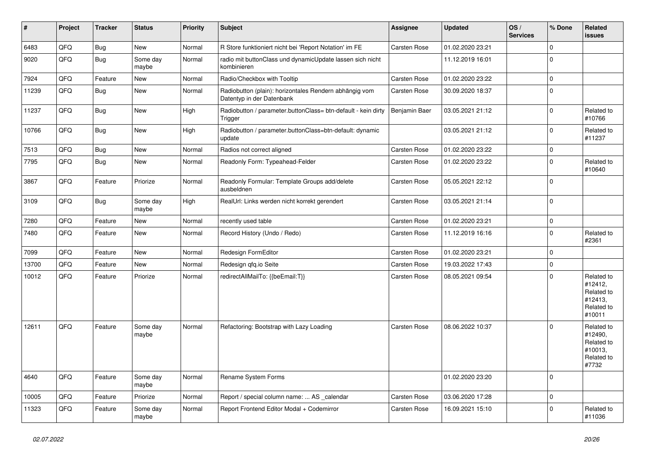| $\vert$ # | <b>Project</b> | <b>Tracker</b> | <b>Status</b>     | <b>Priority</b> | <b>Subject</b>                                                                      | Assignee            | <b>Updated</b>   | OS/<br><b>Services</b> | % Done      | Related<br><b>issues</b>                                               |
|-----------|----------------|----------------|-------------------|-----------------|-------------------------------------------------------------------------------------|---------------------|------------------|------------------------|-------------|------------------------------------------------------------------------|
| 6483      | QFQ            | Bug            | <b>New</b>        | Normal          | R Store funktioniert nicht bei 'Report Notation' im FE                              | Carsten Rose        | 01.02.2020 23:21 |                        | $\mathbf 0$ |                                                                        |
| 9020      | QFQ            | Bug            | Some day<br>maybe | Normal          | radio mit buttonClass und dynamicUpdate lassen sich nicht<br>kombinieren            |                     | 11.12.2019 16:01 |                        | $\Omega$    |                                                                        |
| 7924      | QFQ            | Feature        | New               | Normal          | Radio/Checkbox with Tooltip                                                         | Carsten Rose        | 01.02.2020 23:22 |                        | $\Omega$    |                                                                        |
| 11239     | QFQ            | <b>Bug</b>     | <b>New</b>        | Normal          | Radiobutton (plain): horizontales Rendern abhängig vom<br>Datentyp in der Datenbank | Carsten Rose        | 30.09.2020 18:37 |                        | $\Omega$    |                                                                        |
| 11237     | QFQ            | Bug            | <b>New</b>        | High            | Radiobutton / parameter.buttonClass= btn-default - kein dirty<br>Trigger            | Benjamin Baer       | 03.05.2021 21:12 |                        | $\Omega$    | Related to<br>#10766                                                   |
| 10766     | QFQ            | Bug            | New               | High            | Radiobutton / parameter.buttonClass=btn-default: dynamic<br>update                  |                     | 03.05.2021 21:12 |                        | $\mathbf 0$ | Related to<br>#11237                                                   |
| 7513      | QFQ            | <b>Bug</b>     | <b>New</b>        | Normal          | Radios not correct aligned                                                          | <b>Carsten Rose</b> | 01.02.2020 23:22 |                        | $\Omega$    |                                                                        |
| 7795      | QFQ            | Bug            | <b>New</b>        | Normal          | Readonly Form: Typeahead-Felder                                                     | Carsten Rose        | 01.02.2020 23:22 |                        | $\Omega$    | Related to<br>#10640                                                   |
| 3867      | QFQ            | Feature        | Priorize          | Normal          | Readonly Formular: Template Groups add/delete<br>ausbeldnen                         | <b>Carsten Rose</b> | 05.05.2021 22:12 |                        | $\Omega$    |                                                                        |
| 3109      | QFQ            | Bug            | Some day<br>maybe | High            | RealUrl: Links werden nicht korrekt gerendert                                       | <b>Carsten Rose</b> | 03.05.2021 21:14 |                        | 0           |                                                                        |
| 7280      | QFQ            | Feature        | <b>New</b>        | Normal          | recently used table                                                                 | <b>Carsten Rose</b> | 01.02.2020 23:21 |                        | $\Omega$    |                                                                        |
| 7480      | QFQ            | Feature        | <b>New</b>        | Normal          | Record History (Undo / Redo)                                                        | Carsten Rose        | 11.12.2019 16:16 |                        | $\Omega$    | Related to<br>#2361                                                    |
| 7099      | QFQ            | Feature        | <b>New</b>        | Normal          | Redesign FormEditor                                                                 | <b>Carsten Rose</b> | 01.02.2020 23:21 |                        | $\Omega$    |                                                                        |
| 13700     | QFQ            | Feature        | <b>New</b>        | Normal          | Redesign qfq.io Seite                                                               | Carsten Rose        | 19.03.2022 17:43 |                        | $\mathbf 0$ |                                                                        |
| 10012     | QFQ            | Feature        | Priorize          | Normal          | redirectAllMailTo: {{beEmail:T}}                                                    | <b>Carsten Rose</b> | 08.05.2021 09:54 |                        | $\Omega$    | Related to<br>#12412,<br>Related to<br>#12413,<br>Related to<br>#10011 |
| 12611     | QFQ            | Feature        | Some day<br>maybe | Normal          | Refactoring: Bootstrap with Lazy Loading                                            | <b>Carsten Rose</b> | 08.06.2022 10:37 |                        | $\Omega$    | Related to<br>#12490,<br>Related to<br>#10013,<br>Related to<br>#7732  |
| 4640      | QFQ            | Feature        | Some day<br>maybe | Normal          | Rename System Forms                                                                 |                     | 01.02.2020 23:20 |                        | $\mathbf 0$ |                                                                        |
| 10005     | QFQ            | Feature        | Priorize          | Normal          | Report / special column name:  AS _calendar                                         | <b>Carsten Rose</b> | 03.06.2020 17:28 |                        | $\mathbf 0$ |                                                                        |
| 11323     | QFQ            | Feature        | Some day<br>maybe | Normal          | Report Frontend Editor Modal + Codemirror                                           | <b>Carsten Rose</b> | 16.09.2021 15:10 |                        | $\Omega$    | Related to<br>#11036                                                   |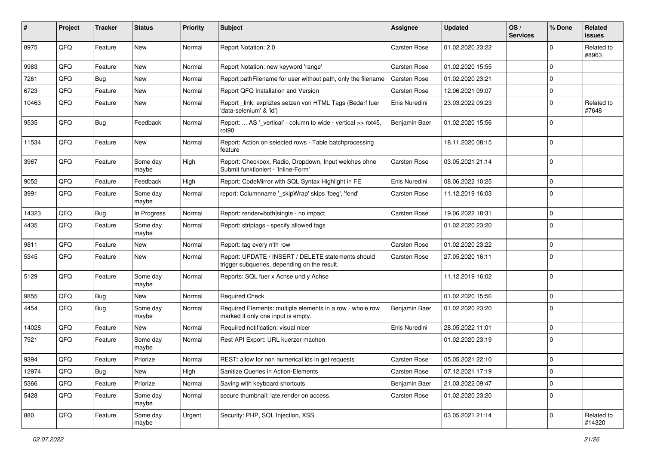| #     | <b>Project</b> | <b>Tracker</b> | <b>Status</b>     | <b>Priority</b> | Subject                                                                                            | Assignee      | <b>Updated</b>   | OS/<br><b>Services</b> | % Done         | Related<br><b>issues</b> |
|-------|----------------|----------------|-------------------|-----------------|----------------------------------------------------------------------------------------------------|---------------|------------------|------------------------|----------------|--------------------------|
| 8975  | QFQ            | Feature        | New               | Normal          | Report Notation: 2.0                                                                               | Carsten Rose  | 01.02.2020 23:22 |                        | $\Omega$       | Related to<br>#8963      |
| 9983  | QFQ            | Feature        | New               | Normal          | Report Notation: new keyword 'range'                                                               | Carsten Rose  | 01.02.2020 15:55 |                        | $\mathbf 0$    |                          |
| 7261  | QFQ            | Bug            | <b>New</b>        | Normal          | Report pathFilename for user without path, only the filename                                       | Carsten Rose  | 01.02.2020 23:21 |                        | $\mathbf 0$    |                          |
| 6723  | QFQ            | Feature        | New               | Normal          | Report QFQ Installation and Version                                                                | Carsten Rose  | 12.06.2021 09:07 |                        | $\mathbf 0$    |                          |
| 10463 | QFQ            | Feature        | New               | Normal          | Report link: expliztes setzen von HTML Tags (Bedarf fuer<br>'data-selenium' & 'id')                | Enis Nuredini | 23.03.2022 09:23 |                        | $\Omega$       | Related to<br>#7648      |
| 9535  | QFQ            | Bug            | Feedback          | Normal          | Report:  AS '_vertical' - column to wide - vertical >> rot45,<br>rot <sub>90</sub>                 | Benjamin Baer | 01.02.2020 15:56 |                        | $\mathbf 0$    |                          |
| 11534 | QFQ            | Feature        | New               | Normal          | Report: Action on selected rows - Table batchprocessing<br>feature                                 |               | 18.11.2020 08:15 |                        | $\mathbf 0$    |                          |
| 3967  | QFQ            | Feature        | Some day<br>maybe | High            | Report: Checkbox, Radio, Dropdown, Input welches ohne<br>Submit funktioniert - 'Inline-Form'       | Carsten Rose  | 03.05.2021 21:14 |                        | $\mathbf 0$    |                          |
| 9052  | QFQ            | Feature        | Feedback          | High            | Report: CodeMirror with SQL Syntax Highlight in FE                                                 | Enis Nuredini | 08.06.2022 10:25 |                        | $\mathbf 0$    |                          |
| 3991  | QFQ            | Feature        | Some day<br>maybe | Normal          | report: Columnname '_skipWrap' skips 'fbeg', 'fend'                                                | Carsten Rose  | 11.12.2019 16:03 |                        | $\mathbf 0$    |                          |
| 14323 | QFQ            | Bug            | In Progress       | Normal          | Report: render=both single - no impact                                                             | Carsten Rose  | 19.06.2022 18:31 |                        | $\mathbf 0$    |                          |
| 4435  | QFQ            | Feature        | Some day<br>maybe | Normal          | Report: striptags - specify allowed tags                                                           |               | 01.02.2020 23:20 |                        | $\mathbf 0$    |                          |
| 9811  | QFQ            | Feature        | New               | Normal          | Report: tag every n'th row                                                                         | Carsten Rose  | 01.02.2020 23:22 |                        | $\mathbf 0$    |                          |
| 5345  | QFQ            | Feature        | New               | Normal          | Report: UPDATE / INSERT / DELETE statements should<br>trigger subqueries, depending on the result. | Carsten Rose  | 27.05.2020 16:11 |                        | 0              |                          |
| 5129  | QFQ            | Feature        | Some day<br>maybe | Normal          | Reports: SQL fuer x Achse und y Achse                                                              |               | 11.12.2019 16:02 |                        | 0              |                          |
| 9855  | QFQ            | Bug            | New               | Normal          | <b>Required Check</b>                                                                              |               | 01.02.2020 15:56 |                        | $\mathbf 0$    |                          |
| 4454  | QFQ            | Bug            | Some day<br>maybe | Normal          | Required Elements: multiple elements in a row - whole row<br>marked if only one input is empty.    | Benjamin Baer | 01.02.2020 23:20 |                        | $\mathbf 0$    |                          |
| 14028 | QFQ            | Feature        | New               | Normal          | Required notification: visual nicer                                                                | Enis Nuredini | 28.05.2022 11:01 |                        | $\mathbf 0$    |                          |
| 7921  | QFQ            | Feature        | Some day<br>maybe | Normal          | Rest API Export: URL kuerzer machen                                                                |               | 01.02.2020 23:19 |                        | 0              |                          |
| 9394  | QFQ            | Feature        | Priorize          | Normal          | REST: allow for non numerical ids in get requests                                                  | Carsten Rose  | 05.05.2021 22:10 |                        | 0              |                          |
| 12974 | QFQ            | <b>Bug</b>     | New               | High            | Sanitize Queries in Action-Elements                                                                | Carsten Rose  | 07.12.2021 17:19 |                        | $\overline{0}$ |                          |
| 5366  | QFQ            | Feature        | Priorize          | Normal          | Saving with keyboard shortcuts                                                                     | Benjamin Baer | 21.03.2022 09:47 |                        | 0              |                          |
| 5428  | QFQ            | Feature        | Some day<br>maybe | Normal          | secure thumbnail: late render on access.                                                           | Carsten Rose  | 01.02.2020 23:20 |                        | 0              |                          |
| 880   | QFQ            | Feature        | Some day<br>maybe | Urgent          | Security: PHP, SQL Injection, XSS                                                                  |               | 03.05.2021 21:14 |                        | 0              | Related to<br>#14320     |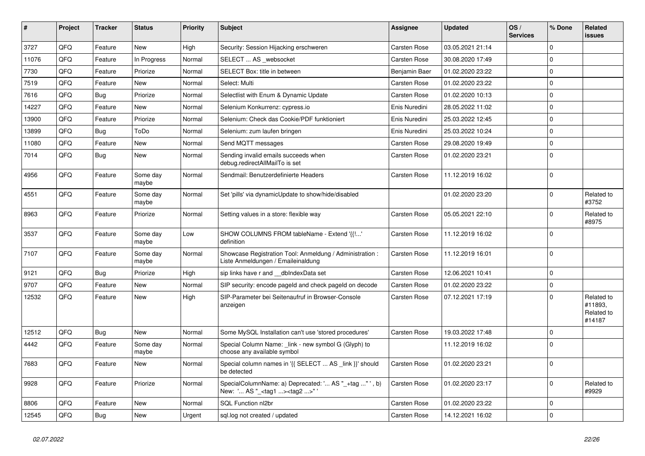| #     | Project | <b>Tracker</b> | <b>Status</b>     | <b>Priority</b> | <b>Subject</b>                                                                                    | <b>Assignee</b>     | <b>Updated</b>   | OS/<br><b>Services</b> | % Done       | Related<br><b>issues</b>                      |
|-------|---------|----------------|-------------------|-----------------|---------------------------------------------------------------------------------------------------|---------------------|------------------|------------------------|--------------|-----------------------------------------------|
| 3727  | QFQ     | Feature        | <b>New</b>        | High            | Security: Session Hijacking erschweren                                                            | Carsten Rose        | 03.05.2021 21:14 |                        | $\Omega$     |                                               |
| 11076 | QFQ     | Feature        | In Progress       | Normal          | SELECT  AS _websocket                                                                             | Carsten Rose        | 30.08.2020 17:49 |                        | $\Omega$     |                                               |
| 7730  | QFQ     | Feature        | Priorize          | Normal          | SELECT Box: title in between                                                                      | Benjamin Baer       | 01.02.2020 23:22 |                        | $\Omega$     |                                               |
| 7519  | QFQ     | Feature        | New               | Normal          | Select: Multi                                                                                     | Carsten Rose        | 01.02.2020 23:22 |                        | $\Omega$     |                                               |
| 7616  | QFQ     | Bug            | Priorize          | Normal          | Selectlist with Enum & Dynamic Update                                                             | <b>Carsten Rose</b> | 01.02.2020 10:13 |                        | 0 I          |                                               |
| 14227 | QFQ     | Feature        | New               | Normal          | Selenium Konkurrenz: cypress.io                                                                   | Enis Nuredini       | 28.05.2022 11:02 |                        | $\Omega$     |                                               |
| 13900 | QFQ     | Feature        | Priorize          | Normal          | Selenium: Check das Cookie/PDF funktioniert                                                       | Enis Nuredini       | 25.03.2022 12:45 |                        | $\Omega$     |                                               |
| 13899 | QFQ     | <b>Bug</b>     | ToDo              | Normal          | Selenium: zum laufen bringen                                                                      | Enis Nuredini       | 25.03.2022 10:24 |                        | $\Omega$     |                                               |
| 11080 | QFQ     | Feature        | New               | Normal          | Send MQTT messages                                                                                | <b>Carsten Rose</b> | 29.08.2020 19:49 |                        | $\Omega$     |                                               |
| 7014  | QFQ     | Bug            | New               | Normal          | Sending invalid emails succeeds when<br>debug.redirectAllMailTo is set                            | Carsten Rose        | 01.02.2020 23:21 |                        | $\Omega$     |                                               |
| 4956  | QFQ     | Feature        | Some day<br>maybe | Normal          | Sendmail: Benutzerdefinierte Headers                                                              | Carsten Rose        | 11.12.2019 16:02 |                        | $\Omega$     |                                               |
| 4551  | QFQ     | Feature        | Some day<br>maybe | Normal          | Set 'pills' via dynamicUpdate to show/hide/disabled                                               |                     | 01.02.2020 23:20 |                        | $\Omega$     | Related to<br>#3752                           |
| 8963  | QFQ     | Feature        | Priorize          | Normal          | Setting values in a store: flexible way                                                           | Carsten Rose        | 05.05.2021 22:10 |                        | $\Omega$     | Related to<br>#8975                           |
| 3537  | QFQ     | Feature        | Some day<br>maybe | Low             | SHOW COLUMNS FROM tableName - Extend '{{!'<br>definition                                          | Carsten Rose        | 11.12.2019 16:02 |                        | $\Omega$     |                                               |
| 7107  | QFQ     | Feature        | Some day<br>maybe | Normal          | Showcase Registration Tool: Anmeldung / Administration :<br>Liste Anmeldungen / Emaileinaldung    | <b>Carsten Rose</b> | 11.12.2019 16:01 |                        | l n          |                                               |
| 9121  | QFQ     | <b>Bug</b>     | Priorize          | High            | sip links have r and dblndexData set                                                              | <b>Carsten Rose</b> | 12.06.2021 10:41 |                        | $\mathbf{0}$ |                                               |
| 9707  | QFQ     | Feature        | New               | Normal          | SIP security: encode pageld and check pageld on decode                                            | <b>Carsten Rose</b> | 01.02.2020 23:22 |                        | $\mathbf{0}$ |                                               |
| 12532 | QFQ     | Feature        | New               | High            | SIP-Parameter bei Seitenaufruf in Browser-Console<br>anzeigen                                     | Carsten Rose        | 07.12.2021 17:19 |                        | $\Omega$     | Related to<br>#11893,<br>Related to<br>#14187 |
| 12512 | QFQ     | <b>Bug</b>     | <b>New</b>        | Normal          | Some MySQL Installation can't use 'stored procedures'                                             | Carsten Rose        | 19.03.2022 17:48 |                        | l 0          |                                               |
| 4442  | QFQ     | Feature        | Some day<br>maybe | Normal          | Special Column Name: _link - new symbol G (Glyph) to<br>choose any available symbol               |                     | 11.12.2019 16:02 |                        | $\Omega$     |                                               |
| 7683  | QFQ     | Feature        | New               | Normal          | Special column names in '{{ SELECT  AS link }}' should<br>be detected                             | Carsten Rose        | 01.02.2020 23:21 |                        | $\mathbf{0}$ |                                               |
| 9928  | QFQ     | Feature        | Priorize          | Normal          | SpecialColumnName: a) Deprecated: ' AS "_+tag "', b)<br>New: ' AS "_ <tag1><tag2>"'</tag2></tag1> | <b>Carsten Rose</b> | 01.02.2020 23:17 |                        | $\Omega$     | Related to<br>#9929                           |
| 8806  | QFQ     | Feature        | <b>New</b>        | Normal          | SQL Function nl2br                                                                                | Carsten Rose        | 01.02.2020 23:22 |                        | $\Omega$     |                                               |
| 12545 | QFQ     | Bug            | <b>New</b>        | Urgent          | sql.log not created / updated                                                                     | <b>Carsten Rose</b> | 14.12.2021 16:02 |                        | $\Omega$     |                                               |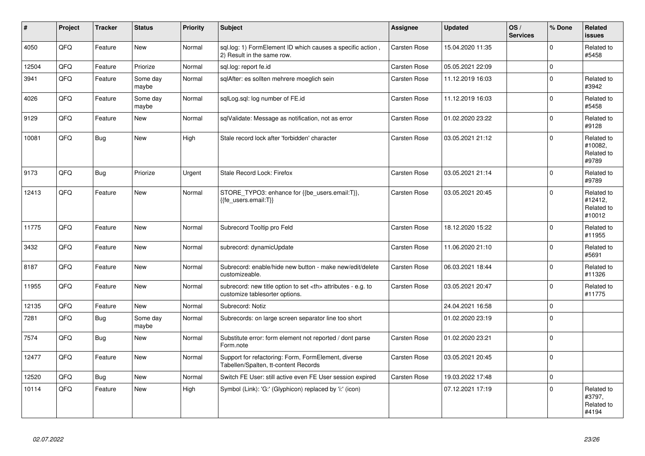| $\vert$ # | Project | <b>Tracker</b> | <b>Status</b>     | <b>Priority</b> | <b>Subject</b>                                                                                       | Assignee                                               | <b>Updated</b>   | OS/<br><b>Services</b> | % Done      | Related<br><b>issues</b>                      |                      |
|-----------|---------|----------------|-------------------|-----------------|------------------------------------------------------------------------------------------------------|--------------------------------------------------------|------------------|------------------------|-------------|-----------------------------------------------|----------------------|
| 4050      | QFQ     | Feature        | <b>New</b>        | Normal          | sql.log: 1) FormElement ID which causes a specific action,<br>2) Result in the same row.             | Carsten Rose                                           | 15.04.2020 11:35 |                        | $\mathbf 0$ | Related to<br>#5458                           |                      |
| 12504     | QFQ     | Feature        | Priorize          | Normal          | sgl.log: report fe.id                                                                                | Carsten Rose                                           | 05.05.2021 22:09 |                        | $\mathbf 0$ |                                               |                      |
| 3941      | QFQ     | Feature        | Some day<br>maybe | Normal          | sglAfter: es sollten mehrere moeglich sein                                                           | Carsten Rose                                           | 11.12.2019 16:03 |                        | $\mathbf 0$ | Related to<br>#3942                           |                      |
| 4026      | QFQ     | Feature        | Some day<br>maybe | Normal          | sqlLog.sql: log number of FE.id                                                                      | Carsten Rose                                           | 11.12.2019 16:03 |                        | $\mathbf 0$ | Related to<br>#5458                           |                      |
| 9129      | QFQ     | Feature        | New               | Normal          | sqlValidate: Message as notification, not as error                                                   | Carsten Rose                                           | 01.02.2020 23:22 |                        | $\mathbf 0$ | Related to<br>#9128                           |                      |
| 10081     | QFQ     | <b>Bug</b>     | New               | High            | Stale record lock after 'forbidden' character                                                        | Carsten Rose                                           | 03.05.2021 21:12 |                        | $\Omega$    | Related to<br>#10082,<br>Related to<br>#9789  |                      |
| 9173      | QFQ     | Bug            | Priorize          | Urgent          | Stale Record Lock: Firefox                                                                           | Carsten Rose                                           | 03.05.2021 21:14 |                        | $\mathbf 0$ | Related to<br>#9789                           |                      |
| 12413     | QFQ     | Feature        | New               | Normal          | STORE_TYPO3: enhance for {{be_users.email:T}},<br>{{fe_users.email:T}}                               | Carsten Rose                                           | 03.05.2021 20:45 |                        | 0           | Related to<br>#12412,<br>Related to<br>#10012 |                      |
| 11775     | QFQ     | Feature        | <b>New</b>        | Normal          | Subrecord Tooltip pro Feld                                                                           | Carsten Rose                                           | 18.12.2020 15:22 |                        | $\Omega$    | Related to<br>#11955                          |                      |
| 3432      | QFQ     | Feature        | New               | Normal          | subrecord: dynamicUpdate                                                                             | Carsten Rose                                           | 11.06.2020 21:10 |                        | $\mathbf 0$ | Related to<br>#5691                           |                      |
| 8187      | QFQ     | Feature        | New               | Normal          | Subrecord: enable/hide new button - make new/edit/delete<br>customizeable.                           | Carsten Rose                                           | 06.03.2021 18:44 |                        | $\Omega$    | Related to<br>#11326                          |                      |
| 11955     | QFQ     | Feature        | New               | Normal          | subrecord: new title option to set <th> attributes - e.g. to<br/>customize tablesorter options.</th> | attributes - e.g. to<br>customize tablesorter options. | Carsten Rose     | 03.05.2021 20:47       |             | $\mathbf 0$                                   | Related to<br>#11775 |
| 12135     | QFQ     | Feature        | New               | Normal          | Subrecord: Notiz                                                                                     |                                                        | 24.04.2021 16:58 |                        | $\mathbf 0$ |                                               |                      |
| 7281      | QFQ     | <b>Bug</b>     | Some day<br>maybe | Normal          | Subrecords: on large screen separator line too short                                                 |                                                        | 01.02.2020 23:19 |                        | $\Omega$    |                                               |                      |
| 7574      | QFQ     | Bug            | New               | Normal          | Substitute error: form element not reported / dont parse<br>Form.note                                | Carsten Rose                                           | 01.02.2020 23:21 |                        | $\mathbf 0$ |                                               |                      |
| 12477     | QFQ     | Feature        | <b>New</b>        | Normal          | Support for refactoring: Form, FormElement, diverse<br>Tabellen/Spalten, tt-content Records          | Carsten Rose                                           | 03.05.2021 20:45 |                        | $\mathbf 0$ |                                               |                      |
| 12520     | QFQ     | <b>Bug</b>     | <b>New</b>        | Normal          | Switch FE User: still active even FE User session expired                                            | Carsten Rose                                           | 19.03.2022 17:48 |                        | $\mathbf 0$ |                                               |                      |
| 10114     | QFQ     | Feature        | New               | High            | Symbol (Link): 'G:' (Glyphicon) replaced by 'i:' (icon)                                              |                                                        | 07.12.2021 17:19 |                        | $\mathbf 0$ | Related to<br>#3797,<br>Related to<br>#4194   |                      |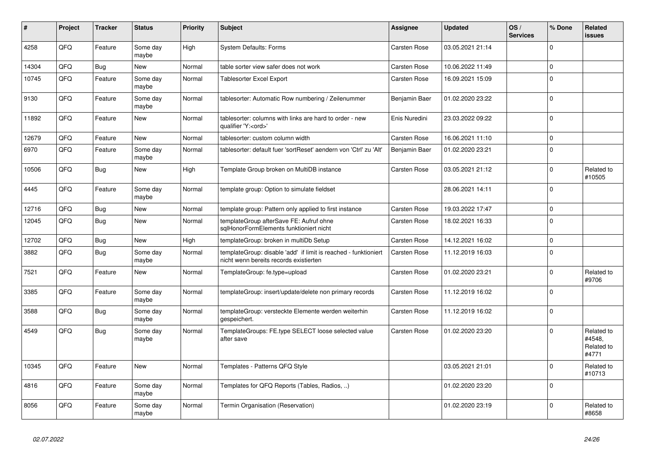| #     | Project    | <b>Tracker</b> | <b>Status</b>     | <b>Priority</b> | <b>Subject</b>                                                                                            | Assignee            | <b>Updated</b>   | OS/<br><b>Services</b> | % Done      | Related<br><b>issues</b>                    |
|-------|------------|----------------|-------------------|-----------------|-----------------------------------------------------------------------------------------------------------|---------------------|------------------|------------------------|-------------|---------------------------------------------|
| 4258  | QFQ        | Feature        | Some day<br>maybe | High            | <b>System Defaults: Forms</b>                                                                             | <b>Carsten Rose</b> | 03.05.2021 21:14 |                        | $\Omega$    |                                             |
| 14304 | QFQ        | <b>Bug</b>     | New               | Normal          | table sorter view safer does not work                                                                     | Carsten Rose        | 10.06.2022 11:49 |                        | $\Omega$    |                                             |
| 10745 | QFQ        | Feature        | Some day<br>maybe | Normal          | <b>Tablesorter Excel Export</b>                                                                           | <b>Carsten Rose</b> | 16.09.2021 15:09 |                        | $\Omega$    |                                             |
| 9130  | QFQ        | Feature        | Some day<br>maybe | Normal          | tablesorter: Automatic Row numbering / Zeilenummer                                                        | Benjamin Baer       | 01.02.2020 23:22 |                        | $\Omega$    |                                             |
| 11892 | QFQ        | Feature        | <b>New</b>        | Normal          | tablesorter: columns with links are hard to order - new<br>qualifier 'Y: <ord>'</ord>                     | Enis Nuredini       | 23.03.2022 09:22 |                        | $\Omega$    |                                             |
| 12679 | QFQ        | Feature        | <b>New</b>        | Normal          | tablesorter: custom column width                                                                          | <b>Carsten Rose</b> | 16.06.2021 11:10 |                        | $\Omega$    |                                             |
| 6970  | QFQ        | Feature        | Some day<br>maybe | Normal          | tablesorter: default fuer 'sortReset' aendern von 'Ctrl' zu 'Alt'                                         | Benjamin Baer       | 01.02.2020 23:21 |                        | $\Omega$    |                                             |
| 10506 | QFQ        | <b>Bug</b>     | <b>New</b>        | High            | Template Group broken on MultiDB instance                                                                 | <b>Carsten Rose</b> | 03.05.2021 21:12 |                        | $\Omega$    | Related to<br>#10505                        |
| 4445  | <b>OFO</b> | Feature        | Some day<br>maybe | Normal          | template group: Option to simulate fieldset                                                               |                     | 28.06.2021 14:11 |                        | $\Omega$    |                                             |
| 12716 | QFQ        | <b>Bug</b>     | <b>New</b>        | Normal          | template group: Pattern only applied to first instance                                                    | <b>Carsten Rose</b> | 19.03.2022 17:47 |                        | $\mathbf 0$ |                                             |
| 12045 | QFQ        | Bug            | <b>New</b>        | Normal          | templateGroup afterSave FE: Aufruf ohne<br>sglHonorFormElements funktioniert nicht                        | <b>Carsten Rose</b> | 18.02.2021 16:33 |                        | $\Omega$    |                                             |
| 12702 | QFQ        | Bug            | <b>New</b>        | High            | templateGroup: broken in multiDb Setup                                                                    | <b>Carsten Rose</b> | 14.12.2021 16:02 |                        | $\mathbf 0$ |                                             |
| 3882  | QFQ        | <b>Bug</b>     | Some day<br>maybe | Normal          | templateGroup: disable 'add' if limit is reached - funktioniert<br>nicht wenn bereits records existierten | <b>Carsten Rose</b> | 11.12.2019 16:03 |                        | $\mathbf 0$ |                                             |
| 7521  | QFQ        | Feature        | New               | Normal          | TemplateGroup: fe.type=upload                                                                             | <b>Carsten Rose</b> | 01.02.2020 23:21 |                        | $\Omega$    | Related to<br>#9706                         |
| 3385  | QFQ        | Feature        | Some day<br>maybe | Normal          | templateGroup: insert/update/delete non primary records                                                   | <b>Carsten Rose</b> | 11.12.2019 16:02 |                        | $\Omega$    |                                             |
| 3588  | QFQ        | <b>Bug</b>     | Some day<br>maybe | Normal          | templateGroup: versteckte Elemente werden weiterhin<br>gespeichert.                                       | <b>Carsten Rose</b> | 11.12.2019 16:02 |                        | $\Omega$    |                                             |
| 4549  | QFQ        | <b>Bug</b>     | Some day<br>maybe | Normal          | TemplateGroups: FE.type SELECT loose selected value<br>after save                                         | <b>Carsten Rose</b> | 01.02.2020 23:20 |                        | $\Omega$    | Related to<br>#4548,<br>Related to<br>#4771 |
| 10345 | QFQ        | Feature        | <b>New</b>        | Normal          | Templates - Patterns QFQ Style                                                                            |                     | 03.05.2021 21:01 |                        | $\Omega$    | Related to<br>#10713                        |
| 4816  | QFQ        | Feature        | Some day<br>maybe | Normal          | Templates for QFQ Reports (Tables, Radios, )                                                              |                     | 01.02.2020 23:20 |                        | $\Omega$    |                                             |
| 8056  | QFQ        | Feature        | Some day<br>maybe | Normal          | Termin Organisation (Reservation)                                                                         |                     | 01.02.2020 23:19 |                        | $\Omega$    | Related to<br>#8658                         |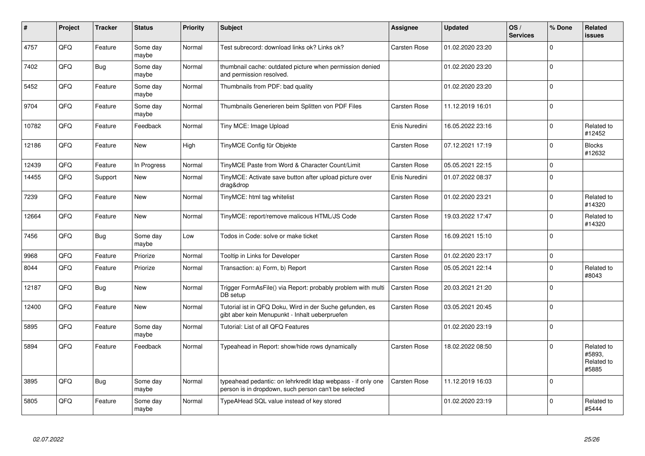| #     | Project | <b>Tracker</b> | <b>Status</b>     | <b>Priority</b> | <b>Subject</b>                                                                                                       | Assignee            | <b>Updated</b>   | OS/<br><b>Services</b> | % Done      | Related<br><b>issues</b>                    |
|-------|---------|----------------|-------------------|-----------------|----------------------------------------------------------------------------------------------------------------------|---------------------|------------------|------------------------|-------------|---------------------------------------------|
| 4757  | QFQ     | Feature        | Some day<br>maybe | Normal          | Test subrecord: download links ok? Links ok?                                                                         | <b>Carsten Rose</b> | 01.02.2020 23:20 |                        | $\Omega$    |                                             |
| 7402  | QFQ     | <b>Bug</b>     | Some day<br>maybe | Normal          | thumbnail cache: outdated picture when permission denied<br>and permission resolved.                                 |                     | 01.02.2020 23:20 |                        | $\Omega$    |                                             |
| 5452  | QFQ     | Feature        | Some day<br>maybe | Normal          | Thumbnails from PDF: bad quality                                                                                     |                     | 01.02.2020 23:20 |                        | $\mathbf 0$ |                                             |
| 9704  | QFQ     | Feature        | Some day<br>maybe | Normal          | Thumbnails Generieren beim Splitten von PDF Files                                                                    | Carsten Rose        | 11.12.2019 16:01 |                        | $\Omega$    |                                             |
| 10782 | QFQ     | Feature        | Feedback          | Normal          | Tiny MCE: Image Upload                                                                                               | Enis Nuredini       | 16.05.2022 23:16 |                        | $\Omega$    | Related to<br>#12452                        |
| 12186 | QFQ     | Feature        | <b>New</b>        | High            | TinyMCE Config für Objekte                                                                                           | <b>Carsten Rose</b> | 07.12.2021 17:19 |                        | $\mathbf 0$ | <b>Blocks</b><br>#12632                     |
| 12439 | QFQ     | Feature        | In Progress       | Normal          | TinyMCE Paste from Word & Character Count/Limit                                                                      | Carsten Rose        | 05.05.2021 22:15 |                        | $\mathbf 0$ |                                             |
| 14455 | QFQ     | Support        | <b>New</b>        | Normal          | TinyMCE: Activate save button after upload picture over<br>drag&drop                                                 | Enis Nuredini       | 01.07.2022 08:37 |                        | $\Omega$    |                                             |
| 7239  | QFQ     | Feature        | New               | Normal          | TinyMCE: html tag whitelist                                                                                          | <b>Carsten Rose</b> | 01.02.2020 23:21 |                        | $\Omega$    | Related to<br>#14320                        |
| 12664 | QFQ     | Feature        | <b>New</b>        | Normal          | TinyMCE: report/remove malicous HTML/JS Code                                                                         | Carsten Rose        | 19.03.2022 17:47 |                        | $\Omega$    | Related to<br>#14320                        |
| 7456  | QFQ     | Bug            | Some day<br>maybe | Low             | Todos in Code: solve or make ticket                                                                                  | <b>Carsten Rose</b> | 16.09.2021 15:10 |                        | $\Omega$    |                                             |
| 9968  | QFQ     | Feature        | Priorize          | Normal          | Tooltip in Links for Developer                                                                                       | <b>Carsten Rose</b> | 01.02.2020 23:17 |                        | $\mathbf 0$ |                                             |
| 8044  | QFQ     | Feature        | Priorize          | Normal          | Transaction: a) Form, b) Report                                                                                      | <b>Carsten Rose</b> | 05.05.2021 22:14 |                        | $\Omega$    | Related to<br>#8043                         |
| 12187 | QFQ     | Bug            | New               | Normal          | Trigger FormAsFile() via Report: probably problem with multi<br>DB setup                                             | <b>Carsten Rose</b> | 20.03.2021 21:20 |                        | $\Omega$    |                                             |
| 12400 | QFQ     | Feature        | <b>New</b>        | Normal          | Tutorial ist in QFQ Doku, Wird in der Suche gefunden, es<br>gibt aber kein Menupunkt - Inhalt ueberpruefen           | Carsten Rose        | 03.05.2021 20:45 |                        | $\mathbf 0$ |                                             |
| 5895  | QFQ     | Feature        | Some day<br>maybe | Normal          | Tutorial: List of all QFQ Features                                                                                   |                     | 01.02.2020 23:19 |                        | $\Omega$    |                                             |
| 5894  | QFQ     | Feature        | Feedback          | Normal          | Typeahead in Report: show/hide rows dynamically                                                                      | <b>Carsten Rose</b> | 18.02.2022 08:50 |                        | $\Omega$    | Related to<br>#5893,<br>Related to<br>#5885 |
| 3895  | QFQ     | <b>Bug</b>     | Some day<br>maybe | Normal          | typeahead pedantic: on lehrkredit Idap webpass - if only one<br>person is in dropdown, such person can't be selected | Carsten Rose        | 11.12.2019 16:03 |                        | $\mathbf 0$ |                                             |
| 5805  | QFQ     | Feature        | Some day<br>maybe | Normal          | TypeAHead SQL value instead of key stored                                                                            |                     | 01.02.2020 23:19 |                        | $\Omega$    | Related to<br>#5444                         |